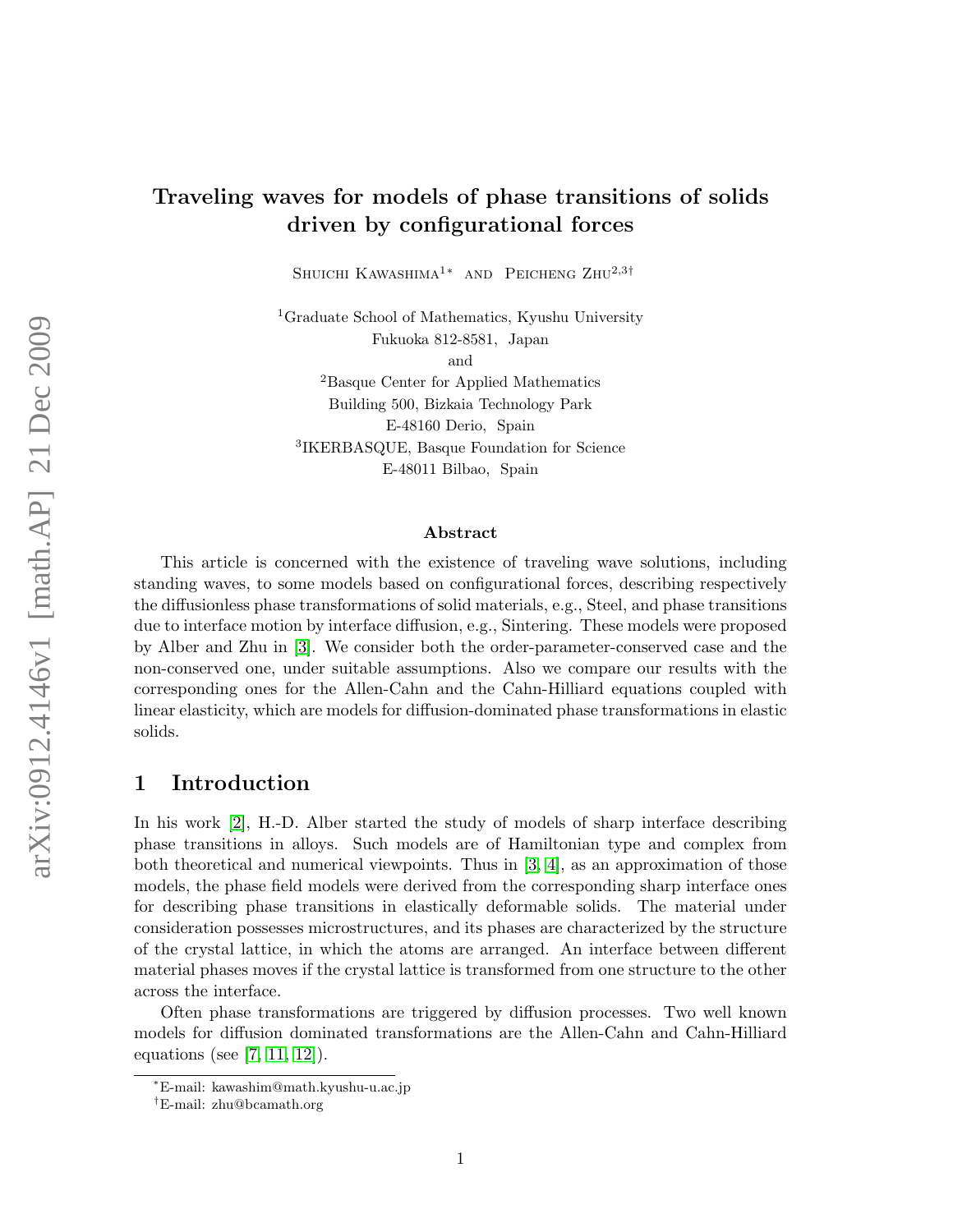# Traveling waves for models of phase transitions of solids driven by configurational forces

SHUICHI KAWASHIMA<sup>1</sup><sup>\*</sup> AND PEICHENG ZHU<sup>2,3†</sup>

<sup>1</sup>Graduate School of Mathematics, Kyushu University Fukuoka 812-8581, Japan

and

<sup>2</sup>Basque Center for Applied Mathematics Building 500, Bizkaia Technology Park E-48160 Derio, Spain 3 IKERBASQUE, Basque Foundation for Science E-48011 Bilbao, Spain

#### Abstract

This article is concerned with the existence of traveling wave solutions, including standing waves, to some models based on configurational forces, describing respectively the diffusionless phase transformations of solid materials, e.g., Steel, and phase transitions due to interface motion by interface diffusion, e.g., Sintering. These models were proposed by Alber and Zhu in [\[3\]](#page-13-0). We consider both the order-parameter-conserved case and the non-conserved one, under suitable assumptions. Also we compare our results with the corresponding ones for the Allen-Cahn and the Cahn-Hilliard equations coupled with linear elasticity, which are models for diffusion-dominated phase transformations in elastic solids.

### 1 Introduction

In his work [\[2\]](#page-13-1), H.-D. Alber started the study of models of sharp interface describing phase transitions in alloys. Such models are of Hamiltonian type and complex from both theoretical and numerical viewpoints. Thus in [\[3,](#page-13-0) [4\]](#page-13-2), as an approximation of those models, the phase field models were derived from the corresponding sharp interface ones for describing phase transitions in elastically deformable solids. The material under consideration possesses microstructures, and its phases are characterized by the structure of the crystal lattice, in which the atoms are arranged. An interface between different material phases moves if the crystal lattice is transformed from one structure to the other across the interface.

Often phase transformations are triggered by diffusion processes. Two well known models for diffusion dominated transformations are the Allen-Cahn and Cahn-Hilliard equations (see [\[7,](#page-13-3) [11,](#page-14-0) [12\]](#page-14-1)).

<sup>∗</sup>E-mail: kawashim@math.kyushu-u.ac.jp

<sup>†</sup>E-mail: zhu@bcamath.org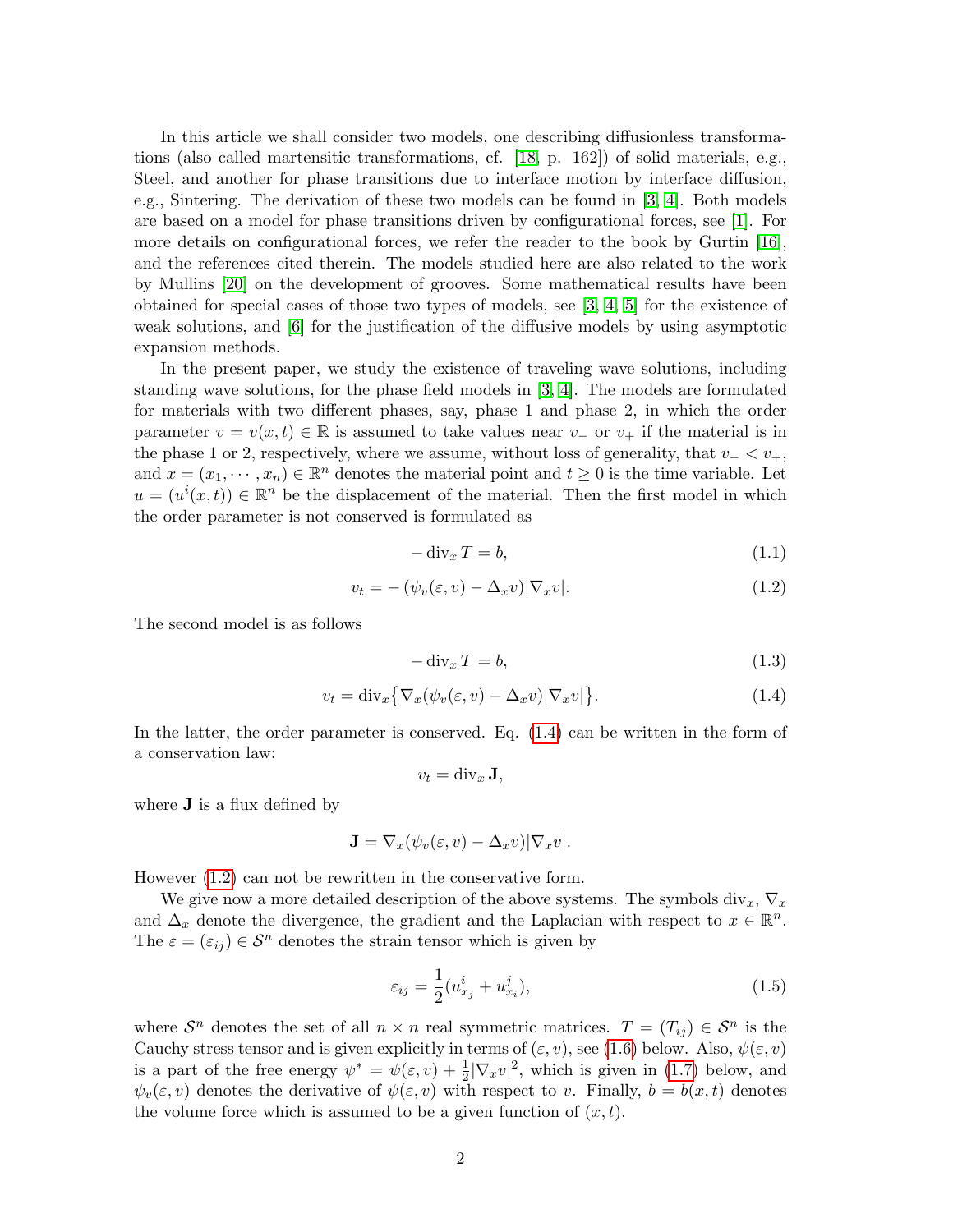In this article we shall consider two models, one describing diffusionless transformations (also called martensitic transformations, cf. [\[18,](#page-14-2) p. 162]) of solid materials, e.g., Steel, and another for phase transitions due to interface motion by interface diffusion, e.g., Sintering. The derivation of these two models can be found in [\[3,](#page-13-0) [4\]](#page-13-2). Both models are based on a model for phase transitions driven by configurational forces, see [\[1\]](#page-13-4). For more details on configurational forces, we refer the reader to the book by Gurtin [\[16\]](#page-14-3), and the references cited therein. The models studied here are also related to the work by Mullins [\[20\]](#page-14-4) on the development of grooves. Some mathematical results have been obtained for special cases of those two types of models, see [\[3,](#page-13-0) [4,](#page-13-2) [5\]](#page-13-5) for the existence of weak solutions, and [\[6\]](#page-13-6) for the justification of the diffusive models by using asymptotic expansion methods.

In the present paper, we study the existence of traveling wave solutions, including standing wave solutions, for the phase field models in [\[3,](#page-13-0) [4\]](#page-13-2). The models are formulated for materials with two different phases, say, phase 1 and phase 2, in which the order parameter  $v = v(x, t) \in \mathbb{R}$  is assumed to take values near  $v_$  or  $v_+$  if the material is in the phase 1 or 2, respectively, where we assume, without loss of generality, that  $v - \langle v_+, v_+ \rangle$ and  $x = (x_1, \dots, x_n) \in \mathbb{R}^n$  denotes the material point and  $t \geq 0$  is the time variable. Let  $u = (u^{i}(x, t)) \in \mathbb{R}^{n}$  be the displacement of the material. Then the first model in which the order parameter is not conserved is formulated as

$$
-\operatorname{div}_x T = b,\tag{1.1}
$$

<span id="page-1-1"></span>
$$
v_t = -(\psi_v(\varepsilon, v) - \Delta_x v) |\nabla_x v|.
$$
\n(1.2)

The second model is as follows

$$
-\operatorname{div}_x T = b,\tag{1.3}
$$

<span id="page-1-0"></span>
$$
v_t = \text{div}_x \{ \nabla_x (\psi_v(\varepsilon, v) - \Delta_x v) | \nabla_x v | \}.
$$
\n(1.4)

In the latter, the order parameter is conserved. Eq. [\(1.4\)](#page-1-0) can be written in the form of a conservation law:

$$
v_t = \operatorname{div}_x \mathbf{J},
$$

where  $\bf{J}$  is a flux defined by

$$
\mathbf{J} = \nabla_x(\psi_v(\varepsilon, v) - \Delta_x v) |\nabla_x v|.
$$

However [\(1.2\)](#page-1-1) can not be rewritten in the conservative form.

We give now a more detailed description of the above systems. The symbols div<sub>x</sub>,  $\nabla_x$ and  $\Delta_x$  denote the divergence, the gradient and the Laplacian with respect to  $x \in \mathbb{R}^n$ . The  $\varepsilon = (\varepsilon_{ij}) \in \mathcal{S}^n$  denotes the strain tensor which is given by

$$
\varepsilon_{ij} = \frac{1}{2} (u_{x_j}^i + u_{x_i}^j),\tag{1.5}
$$

where  $S^n$  denotes the set of all  $n \times n$  real symmetric matrices.  $T = (T_{ij}) \in S^n$  is the Cauchy stress tensor and is given explicitly in terms of  $(\varepsilon, v)$ , see [\(1.6\)](#page-2-0) below. Also,  $\psi(\varepsilon, v)$ is a part of the free energy  $\psi^* = \psi(\varepsilon, v) + \frac{1}{2} |\nabla_x v|^2$ , which is given in [\(1.7\)](#page-2-1) below, and  $\psi_v(\varepsilon, v)$  denotes the derivative of  $\psi(\varepsilon, v)$  with respect to v. Finally,  $b = b(x, t)$  denotes the volume force which is assumed to be a given function of  $(x, t)$ .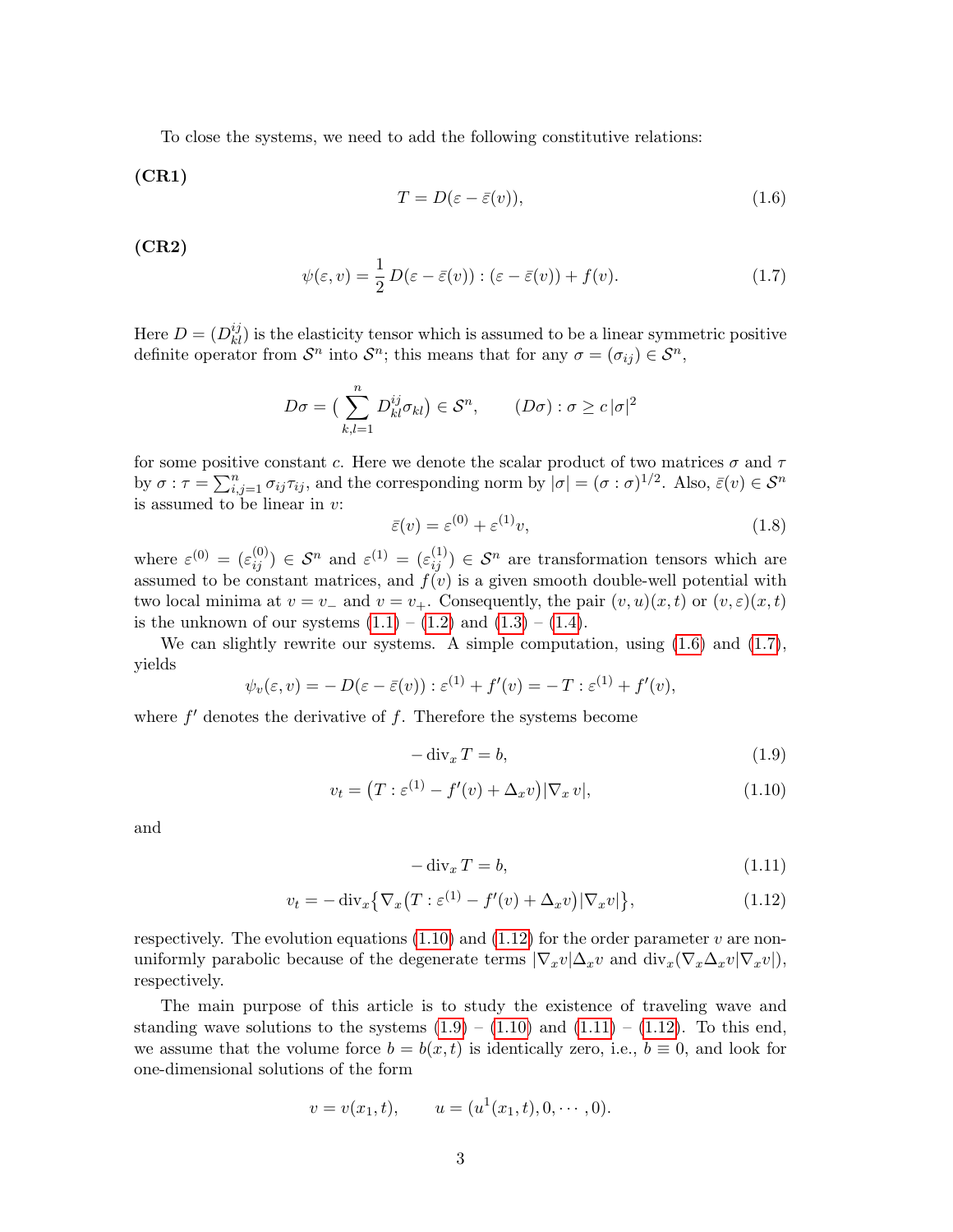To close the systems, we need to add the following constitutive relations:

(CR1)

<span id="page-2-0"></span>
$$
T = D(\varepsilon - \bar{\varepsilon}(v)),\tag{1.6}
$$

(CR2)

<span id="page-2-1"></span>
$$
\psi(\varepsilon, v) = \frac{1}{2} D(\varepsilon - \bar{\varepsilon}(v)) : (\varepsilon - \bar{\varepsilon}(v)) + f(v). \tag{1.7}
$$

Here  $D = (D_{kl}^{ij})$  is the elasticity tensor which is assumed to be a linear symmetric positive definite operator from  $\mathcal{S}^n$  into  $\mathcal{S}^n$ ; this means that for any  $\sigma = (\sigma_{ij}) \in \mathcal{S}^n$ ,

$$
D\sigma = \left(\sum_{k,l=1}^n D^{ij}_{kl}\sigma_{kl}\right) \in \mathcal{S}^n, \qquad (D\sigma) : \sigma \ge c |\sigma|^2
$$

for some positive constant c. Here we denote the scalar product of two matrices  $\sigma$  and  $\tau$ by  $\sigma : \tau = \sum_{i,j=1}^n \sigma_{ij} \tau_{ij}$ , and the corresponding norm by  $|\sigma| = (\sigma : \sigma)^{1/2}$ . Also,  $\bar{\varepsilon}(v) \in \mathcal{S}^n$ is assumed to be linear in v:

<span id="page-2-4"></span>
$$
\bar{\varepsilon}(v) = \varepsilon^{(0)} + \varepsilon^{(1)}v,\tag{1.8}
$$

where  $\varepsilon^{(0)} = (\varepsilon_{ij}^{(0)}) \in \mathcal{S}^n$  and  $\varepsilon^{(1)} = (\varepsilon_{ij}^{(1)}) \in \mathcal{S}^n$  are transformation tensors which are assumed to be constant matrices, and  $f(v)$  is a given smooth double-well potential with two local minima at  $v = v_+$  and  $v = v_+$ . Consequently, the pair  $(v, u)(x, t)$  or  $(v, \varepsilon)(x, t)$ is the unknown of our systems  $(1.1) - (1.2)$  $(1.1) - (1.2)$  $(1.1) - (1.2)$  and  $(1.3) - (1.4)$  $(1.3) - (1.4)$  $(1.3) - (1.4)$ .

We can slightly rewrite our systems. A simple computation, using  $(1.6)$  and  $(1.7)$ , yields

$$
\psi_v(\varepsilon, v) = -D(\varepsilon - \overline{\varepsilon}(v)) : \varepsilon^{(1)} + f'(v) = -T : \varepsilon^{(1)} + f'(v),
$$

where  $f'$  denotes the derivative of  $f$ . Therefore the systems become

$$
-\operatorname{div}_x T = b,\tag{1.9}
$$

<span id="page-2-2"></span>
$$
v_t = (T : \varepsilon^{(1)} - f'(v) + \Delta_x v) |\nabla_x v|,
$$
\n(1.10)

and

$$
-\operatorname{div}_x T = b,\tag{1.11}
$$

<span id="page-2-3"></span>
$$
v_t = -\operatorname{div}_x \left\{ \nabla_x \left( T : \varepsilon^{(1)} - f'(v) + \Delta_x v \right) | \nabla_x v \right\},\tag{1.12}
$$

respectively. The evolution equations  $(1.10)$  and  $(1.12)$  for the order parameter v are nonuniformly parabolic because of the degenerate terms  $|\nabla_x v| \Delta_x v$  and  $\text{div}_x(\nabla_x \Delta_x v | \nabla_x v|)$ , respectively.

The main purpose of this article is to study the existence of traveling wave and standing wave solutions to the systems  $(1.9) - (1.10)$  $(1.9) - (1.10)$  $(1.9) - (1.10)$  and  $(1.11) - (1.12)$  $(1.11) - (1.12)$  $(1.11) - (1.12)$ . To this end, we assume that the volume force  $b = b(x, t)$  is identically zero, i.e.,  $b \equiv 0$ , and look for one-dimensional solutions of the form

$$
v = v(x_1, t),
$$
  $u = (u^1(x_1, t), 0, \dots, 0).$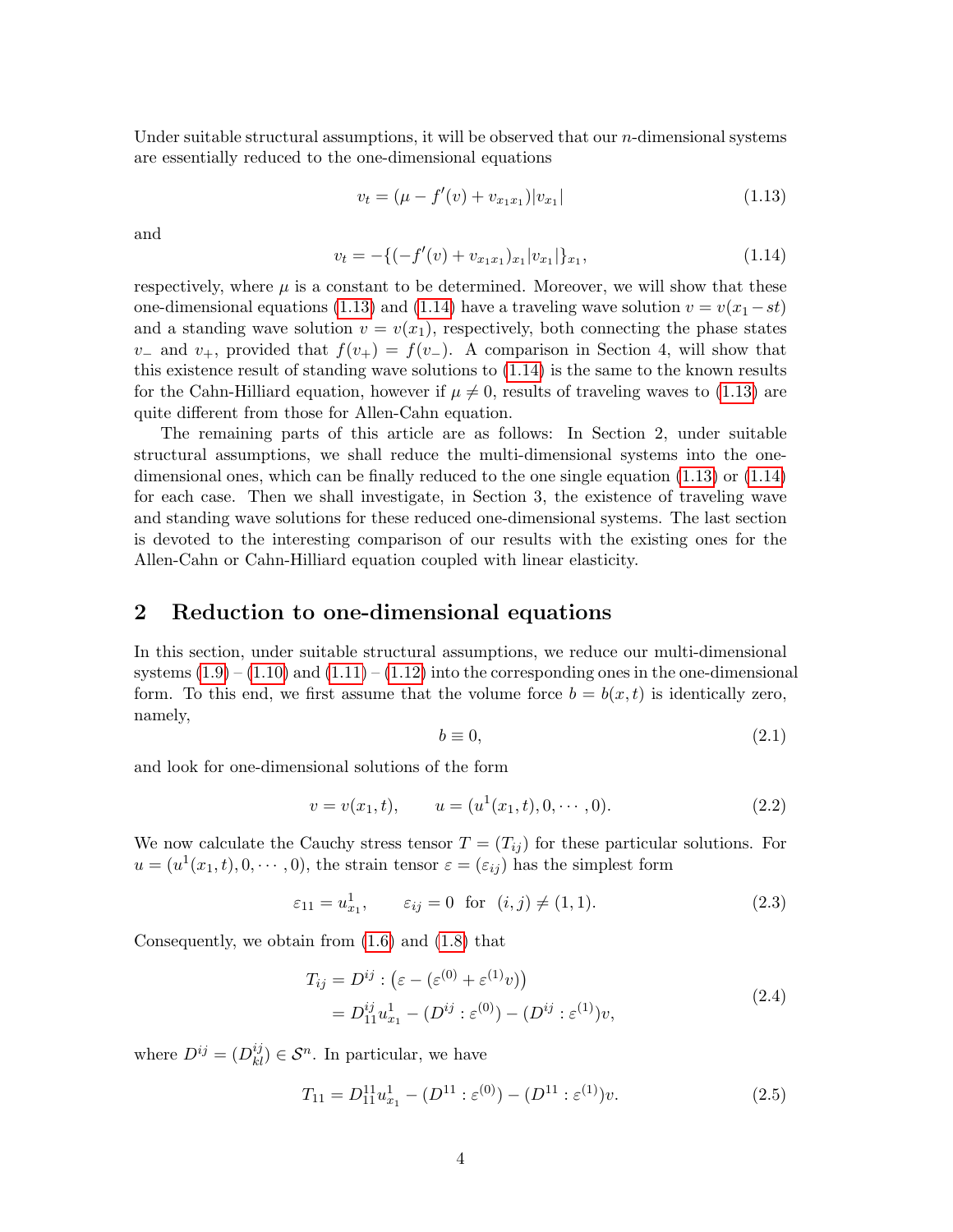Under suitable structural assumptions, it will be observed that our *n*-dimensional systems are essentially reduced to the one-dimensional equations

<span id="page-3-0"></span>
$$
v_t = (\mu - f'(v) + v_{x_1 x_1}) |v_{x_1}| \tag{1.13}
$$

and

<span id="page-3-1"></span>
$$
v_t = -\{(-f'(v) + v_{x_1x_1})_{x_1}|v_{x_1}|\}_{x_1},\tag{1.14}
$$

respectively, where  $\mu$  is a constant to be determined. Moreover, we will show that these one-dimensional equations [\(1.13\)](#page-3-0) and [\(1.14\)](#page-3-1) have a traveling wave solution  $v = v(x_1 - st)$ and a standing wave solution  $v = v(x_1)$ , respectively, both connecting the phase states v<sub>−</sub> and v<sub>+</sub>, provided that  $f(v_+) = f(v_-)$ . A comparison in Section 4, will show that this existence result of standing wave solutions to [\(1.14\)](#page-3-1) is the same to the known results for the Cahn-Hilliard equation, however if  $\mu \neq 0$ , results of traveling waves to [\(1.13\)](#page-3-0) are quite different from those for Allen-Cahn equation.

The remaining parts of this article are as follows: In Section 2, under suitable structural assumptions, we shall reduce the multi-dimensional systems into the onedimensional ones, which can be finally reduced to the one single equation [\(1.13\)](#page-3-0) or [\(1.14\)](#page-3-1) for each case. Then we shall investigate, in Section 3, the existence of traveling wave and standing wave solutions for these reduced one-dimensional systems. The last section is devoted to the interesting comparison of our results with the existing ones for the Allen-Cahn or Cahn-Hilliard equation coupled with linear elasticity.

### 2 Reduction to one-dimensional equations

In this section, under suitable structural assumptions, we reduce our multi-dimensional systems  $(1.9) - (1.10)$  $(1.9) - (1.10)$  $(1.9) - (1.10)$  and  $(1.11) - (1.12)$  $(1.11) - (1.12)$  $(1.11) - (1.12)$  into the corresponding ones in the one-dimensional form. To this end, we first assume that the volume force  $b = b(x, t)$  is identically zero, namely,

$$
b \equiv 0,\tag{2.1}
$$

and look for one-dimensional solutions of the form

<span id="page-3-4"></span>
$$
v = v(x_1, t), \qquad u = (u^1(x_1, t), 0, \cdots, 0). \tag{2.2}
$$

We now calculate the Cauchy stress tensor  $T = (T_{ij})$  for these particular solutions. For  $u = (u^1(x_1, t), 0, \dots, 0)$ , the strain tensor  $\varepsilon = (\varepsilon_{ij})$  has the simplest form

$$
\varepsilon_{11} = u_{x_1}^1, \qquad \varepsilon_{ij} = 0 \text{ for } (i,j) \neq (1,1).
$$
 (2.3)

<span id="page-3-2"></span>Consequently, we obtain from [\(1.6\)](#page-2-0) and [\(1.8\)](#page-2-4) that

$$
T_{ij} = D^{ij} : (\varepsilon - (\varepsilon^{(0)} + \varepsilon^{(1)} v))
$$
  
=  $D_{11}^{ij} u_{x_1}^1 - (D^{ij} : \varepsilon^{(0)}) - (D^{ij} : \varepsilon^{(1)}) v,$  (2.4)

where  $D^{ij} = (D^{ij}_{kl}) \in \mathcal{S}^n$ . In particular, we have

<span id="page-3-3"></span>
$$
T_{11} = D_{11}^{11} u_{x_1}^1 - (D^{11} : \varepsilon^{(0)}) - (D^{11} : \varepsilon^{(1)})v.
$$
 (2.5)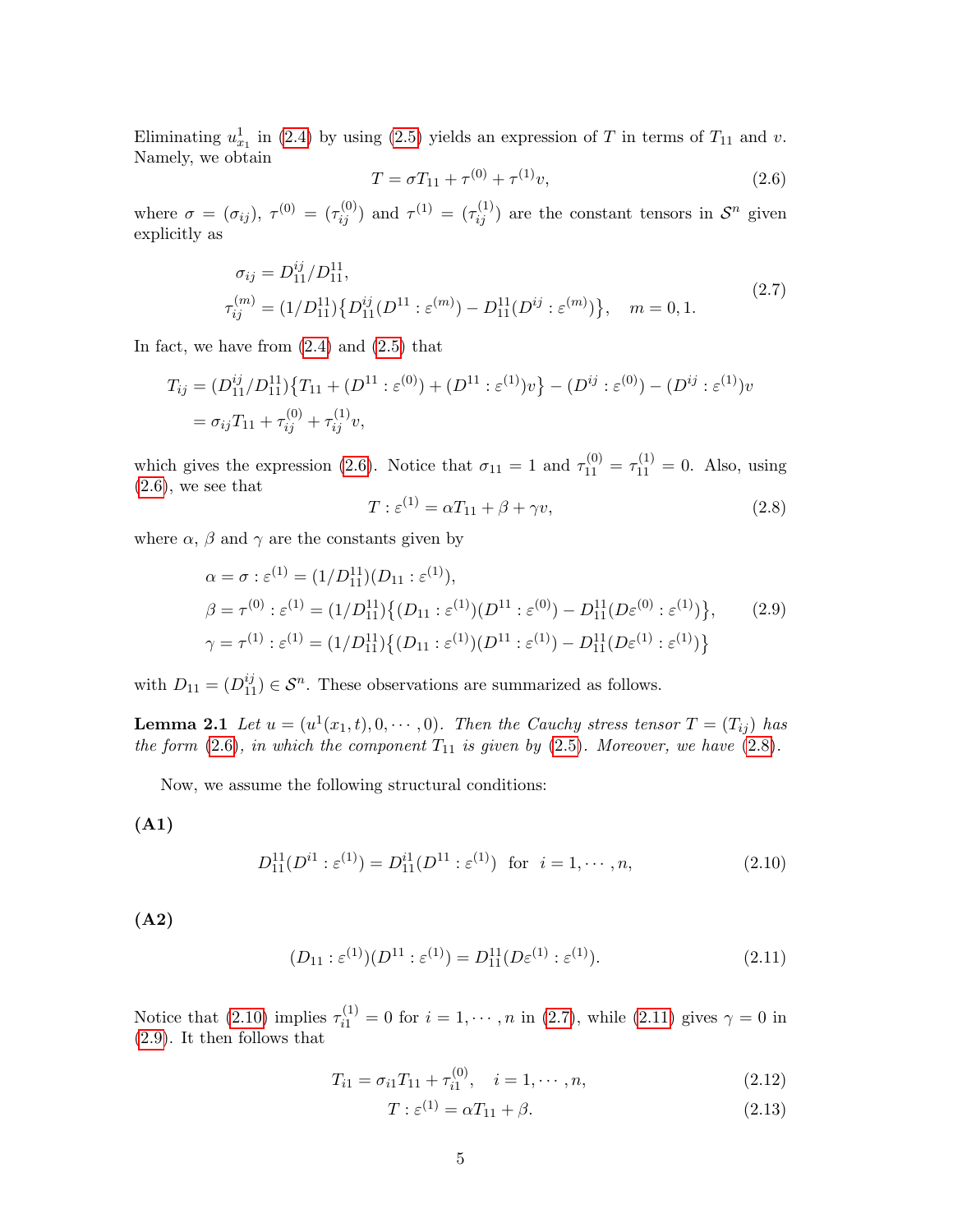Eliminating  $u_{x_1}^1$  in [\(2.4\)](#page-3-2) by using [\(2.5\)](#page-3-3) yields an expression of T in terms of  $T_{11}$  and v. Namely, we obtain

<span id="page-4-0"></span>
$$
T = \sigma T_{11} + \tau^{(0)} + \tau^{(1)} v,\tag{2.6}
$$

where  $\sigma = (\sigma_{ij})$ ,  $\tau^{(0)} = (\tau_{ij}^{(0)})$  and  $\tau^{(1)} = (\tau_{ij}^{(1)})$  are the constant tensors in  $\mathcal{S}^n$  given explicitly as

$$
\sigma_{ij} = D_{11}^{ij} / D_{11}^{11},
$$
  
\n
$$
\tau_{ij}^{(m)} = (1/D_{11}^{11}) \{ D_{11}^{ij} (D^{11} : \varepsilon^{(m)}) - D_{11}^{11} (D^{ij} : \varepsilon^{(m)}) \}, \quad m = 0, 1.
$$
\n(2.7)

<span id="page-4-3"></span>In fact, we have from  $(2.4)$  and  $(2.5)$  that

$$
T_{ij} = (D_{11}^{ij}/D_{11}^{11}) \{ T_{11} + (D^{11} : \varepsilon^{(0)}) + (D^{11} : \varepsilon^{(1)}) v \} - (D^{ij} : \varepsilon^{(0)}) - (D^{ij} : \varepsilon^{(1)}) v
$$
  
=  $\sigma_{ij} T_{11} + \tau_{ij}^{(0)} + \tau_{ij}^{(1)} v$ ,

which gives the expression [\(2.6\)](#page-4-0). Notice that  $\sigma_{11} = 1$  and  $\tau_{11}^{(0)} = \tau_{11}^{(1)} = 0$ . Also, using  $(2.6)$ , we see that

<span id="page-4-1"></span>
$$
T: \varepsilon^{(1)} = \alpha T_{11} + \beta + \gamma v,\tag{2.8}
$$

<span id="page-4-5"></span>where  $\alpha$ ,  $\beta$  and  $\gamma$  are the constants given by

$$
\alpha = \sigma : \varepsilon^{(1)} = (1/D_{11}^{11})(D_{11} : \varepsilon^{(1)}),
$$
  
\n
$$
\beta = \tau^{(0)} : \varepsilon^{(1)} = (1/D_{11}^{11}) \{ (D_{11} : \varepsilon^{(1)})(D^{11} : \varepsilon^{(0)}) - D_{11}^{11}(D\varepsilon^{(0)} : \varepsilon^{(1)}) \}, \qquad (2.9)
$$
  
\n
$$
\gamma = \tau^{(1)} : \varepsilon^{(1)} = (1/D_{11}^{11}) \{ (D_{11} : \varepsilon^{(1)})(D^{11} : \varepsilon^{(1)}) - D_{11}^{11}(D\varepsilon^{(1)} : \varepsilon^{(1)}) \}
$$

with  $D_{11} = (D_{11}^{ij}) \in \mathcal{S}^n$ . These observations are summarized as follows.

**Lemma 2.1** Let  $u = (u^1(x_1, t), 0, \dots, 0)$ . Then the Cauchy stress tensor  $T = (T_{ij})$  has the form  $(2.6)$ , in which the component  $T_{11}$  is given by  $(2.5)$ . Moreover, we have  $(2.8)$ .

Now, we assume the following structural conditions:

(A1)

<span id="page-4-2"></span>
$$
D_{11}^{11}(D^{i1} : \varepsilon^{(1)}) = D_{11}^{i1}(D^{11} : \varepsilon^{(1)}) \text{ for } i = 1, \cdots, n,
$$
 (2.10)

(A2)

<span id="page-4-4"></span>
$$
(D_{11}: \varepsilon^{(1)})(D^{11}: \varepsilon^{(1)}) = D_{11}^{11}(D\varepsilon^{(1)}: \varepsilon^{(1)}).
$$
\n(2.11)

Notice that [\(2.10\)](#page-4-2) implies  $\tau_{i1}^{(1)} = 0$  for  $i = 1, \dots, n$  in [\(2.7\)](#page-4-3), while [\(2.11\)](#page-4-4) gives  $\gamma = 0$  in [\(2.9\)](#page-4-5). It then follows that

$$
T_{i1} = \sigma_{i1} T_{11} + \tau_{i1}^{(0)}, \quad i = 1, \cdots, n,
$$
\n(2.12)

$$
T: \varepsilon^{(1)} = \alpha T_{11} + \beta. \tag{2.13}
$$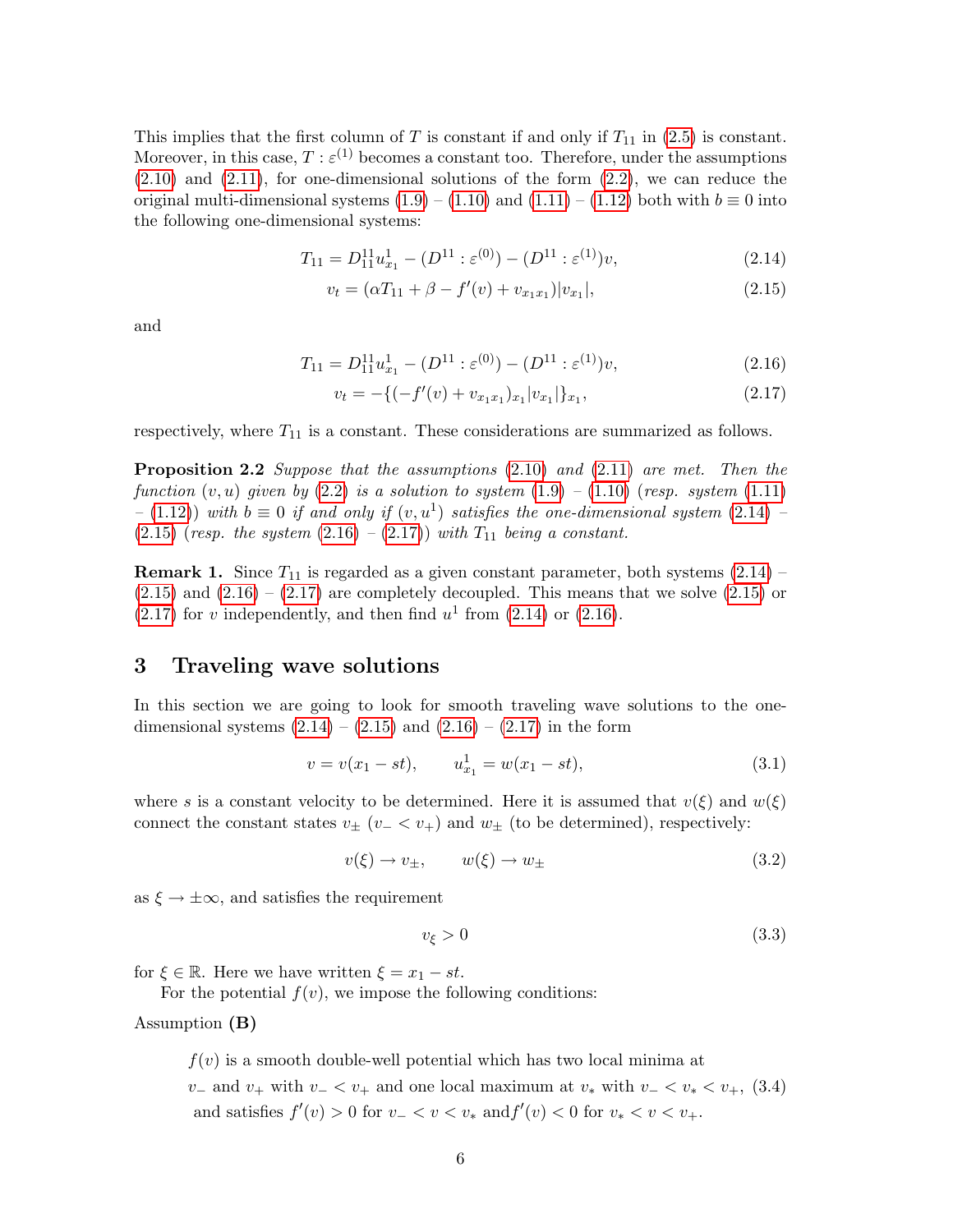This implies that the first column of T is constant if and only if  $T_{11}$  in [\(2.5\)](#page-3-3) is constant. Moreover, in this case,  $T : \varepsilon^{(1)}$  becomes a constant too. Therefore, under the assumptions  $(2.10)$  and  $(2.11)$ , for one-dimensional solutions of the form  $(2.2)$ , we can reduce the original multi-dimensional systems  $(1.9) - (1.10)$  $(1.9) - (1.10)$  $(1.9) - (1.10)$  and  $(1.11) - (1.12)$  $(1.11) - (1.12)$  $(1.11) - (1.12)$  both with  $b \equiv 0$  into the following one-dimensional systems:

<span id="page-5-0"></span>
$$
T_{11} = D_{11}^{11} u_{x_1}^1 - (D^{11} : \varepsilon^{(0)}) - (D^{11} : \varepsilon^{(1)}) v,
$$
\n
$$
(2.14)
$$

$$
v_t = (\alpha T_{11} + \beta - f'(v) + v_{x_1x_1})|v_{x_1}|,
$$
\n(2.15)

and

<span id="page-5-1"></span>
$$
T_{11} = D_{11}^{11} u_{x_1}^1 - (D^{11} : \varepsilon^{(0)}) - (D^{11} : \varepsilon^{(1)}) v,\tag{2.16}
$$

$$
v_t = -\{(-f'(v) + v_{x_1x_1})_{x_1}|v_{x_1}|\}_{x_1},\tag{2.17}
$$

respectively, where  $T_{11}$  is a constant. These considerations are summarized as follows.

**Proposition 2.2** Suppose that the assumptions [\(2.10\)](#page-4-2) and [\(2.11\)](#page-4-4) are met. Then the function  $(v, u)$  given by  $(2.2)$  is a solution to system  $(1.9)$  –  $(1.10)$  (resp. system  $(1.11)$ )  $-$  [\(1.12\)](#page-2-3)) with  $b \equiv 0$  if and only if  $(v, u<sup>1</sup>)$  satisfies the one-dimensional system [\(2.14\)](#page-5-0) – [\(2.15\)](#page-5-0) (resp. the system  $(2.16) - (2.17)$  $(2.16) - (2.17)$  $(2.16) - (2.17)$ ) with  $T_{11}$  being a constant.

**Remark 1.** Since  $T_{11}$  is regarded as a given constant parameter, both systems  $(2.14)$  –  $(2.15)$  and  $(2.16) - (2.17)$  $(2.16) - (2.17)$  $(2.16) - (2.17)$  are completely decoupled. This means that we solve  $(2.15)$  or  $(2.17)$  for v independently, and then find  $u^1$  from  $(2.14)$  or  $(2.16)$ .

### 3 Traveling wave solutions

In this section we are going to look for smooth traveling wave solutions to the onedimensional systems  $(2.14) - (2.15)$  $(2.14) - (2.15)$  $(2.14) - (2.15)$  and  $(2.16) - (2.17)$  $(2.16) - (2.17)$  $(2.16) - (2.17)$  in the form

<span id="page-5-2"></span>
$$
v = v(x_1 - st), \qquad u_{x_1}^1 = w(x_1 - st), \tag{3.1}
$$

where s is a constant velocity to be determined. Here it is assumed that  $v(\xi)$  and  $w(\xi)$ connect the constant states  $v_{\pm}$  ( $v_{-} < v_{+}$ ) and  $w_{\pm}$  (to be determined), respectively:

<span id="page-5-5"></span>
$$
v(\xi) \to v_{\pm}, \qquad w(\xi) \to w_{\pm} \tag{3.2}
$$

as  $\xi \to \pm \infty$ , and satisfies the requirement

<span id="page-5-3"></span>
$$
v_{\xi} > 0 \tag{3.3}
$$

for  $\xi \in \mathbb{R}$ . Here we have written  $\xi = x_1 - st$ .

For the potential  $f(v)$ , we impose the following conditions:

Assumption (B)

<span id="page-5-4"></span> $f(v)$  is a smooth double-well potential which has two local minima at  $v_$  and  $v_+$  with  $v_- < v_+$  and one local maximum at  $v_*$  with  $v_- < v_* < v_+$ , (3.4) and satisfies  $f'(v) > 0$  for  $v - < v < v_*$  and  $f'(v) < 0$  for  $v_* < v < v_+$ .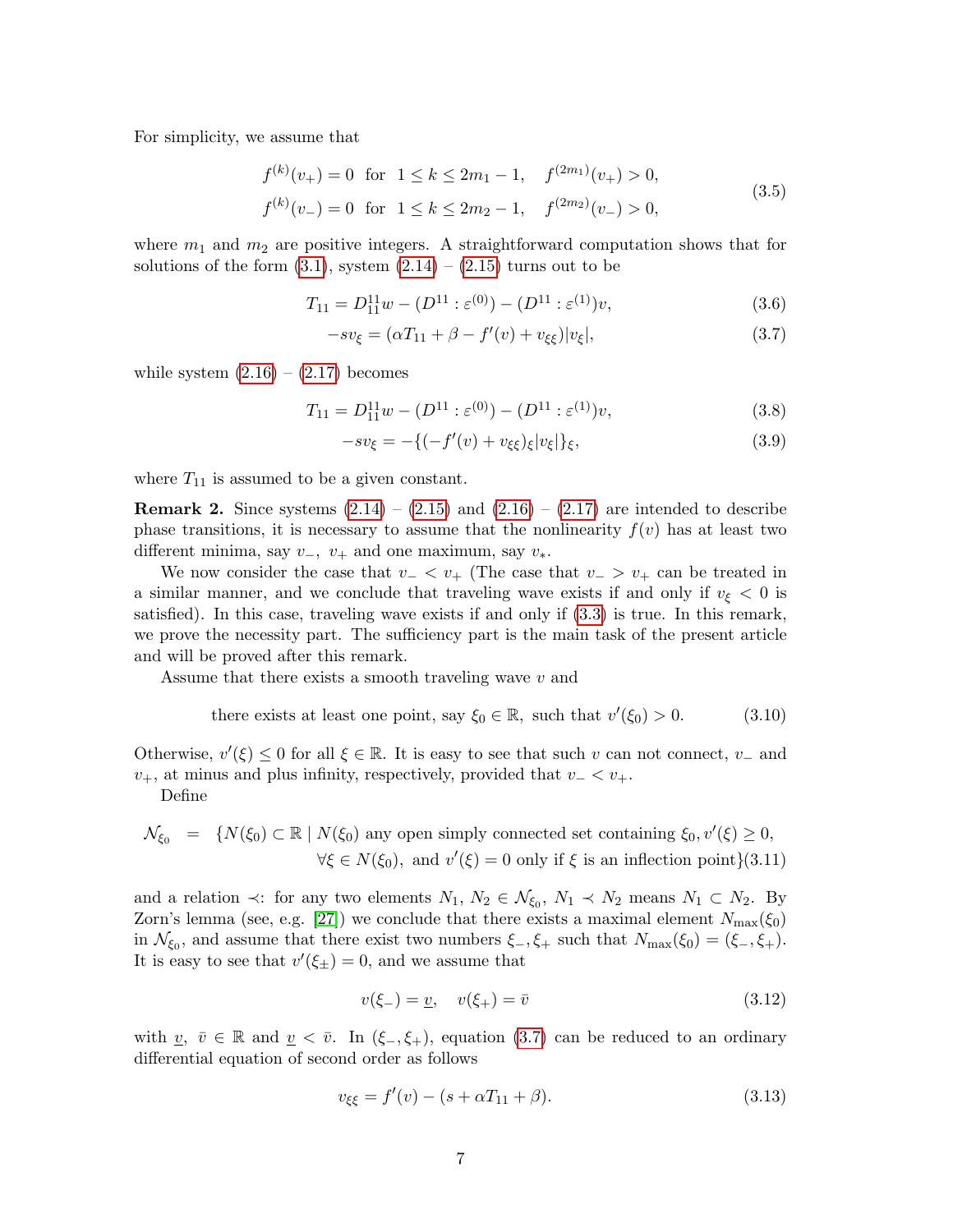<span id="page-6-3"></span>For simplicity, we assume that

$$
f^{(k)}(v_+) = 0 \text{ for } 1 \le k \le 2m_1 - 1, \quad f^{(2m_1)}(v_+) > 0,
$$
  

$$
f^{(k)}(v_-) = 0 \text{ for } 1 \le k \le 2m_2 - 1, \quad f^{(2m_2)}(v_-) > 0,
$$
 (3.5)

where  $m_1$  and  $m_2$  are positive integers. A straightforward computation shows that for solutions of the form  $(3.1)$ , system  $(2.14) - (2.15)$  $(2.14) - (2.15)$  $(2.14) - (2.15)$  turns out to be

<span id="page-6-0"></span>
$$
T_{11} = D_{11}^{11}w - (D^{11} : \varepsilon^{(0)}) - (D^{11} : \varepsilon^{(1)})v,
$$
\n(3.6)

$$
-sv_{\xi} = (\alpha T_{11} + \beta - f'(v) + v_{\xi\xi})|v_{\xi}|,
$$
\n(3.7)

while system  $(2.16) - (2.17)$  $(2.16) - (2.17)$  $(2.16) - (2.17)$  becomes

<span id="page-6-2"></span>
$$
T_{11} = D_{11}^{11}w - (D^{11} : \varepsilon^{(0)}) - (D^{11} : \varepsilon^{(1)})v,
$$
\n(3.8)

$$
-sv_{\xi} = -\{(-f'(v) + v_{\xi\xi})_{\xi}|v_{\xi}|\}_{\xi},\tag{3.9}
$$

where  $T_{11}$  is assumed to be a given constant.

**Remark 2.** Since systems  $(2.14) - (2.15)$  $(2.14) - (2.15)$  $(2.14) - (2.15)$  and  $(2.16) - (2.17)$  $(2.16) - (2.17)$  $(2.16) - (2.17)$  are intended to describe phase transitions, it is necessary to assume that the nonlinearity  $f(v)$  has at least two different minima, say  $v_-, v_+$  and one maximum, say  $v_*$ .

We now consider the case that  $v - \langle v_+ \rangle$  (The case that  $v - \langle v_+ \rangle$  can be treated in a similar manner, and we conclude that traveling wave exists if and only if  $v_{\xi} < 0$  is satisfied). In this case, traveling wave exists if and only if [\(3.3\)](#page-5-3) is true. In this remark, we prove the necessity part. The sufficiency part is the main task of the present article and will be proved after this remark.

Assume that there exists a smooth traveling wave v and

there exists at least one point, say 
$$
\xi_0 \in \mathbb{R}
$$
, such that  $v'(\xi_0) > 0$ . (3.10)

Otherwise,  $v'(\xi) \leq 0$  for all  $\xi \in \mathbb{R}$ . It is easy to see that such v can not connect, v<sub>-</sub> and  $v_{+}$ , at minus and plus infinity, respectively, provided that  $v_{-} < v_{+}$ .

Define

$$
\mathcal{N}_{\xi_0} = \{ N(\xi_0) \subset \mathbb{R} \mid N(\xi_0) \text{ any open simply connected set containing } \xi_0, v'(\xi) \ge 0, \forall \xi \in N(\xi_0), \text{ and } v'(\xi) = 0 \text{ only if } \xi \text{ is an inflection point} \} (3.11)
$$

and a relation  $\prec$ : for any two elements  $N_1, N_2 \in \mathcal{N}_{\xi_0}, N_1 \prec N_2$  means  $N_1 \subset N_2$ . By Zorn's lemma (see, e.g. [\[27\]](#page-14-5)) we conclude that there exists a maximal element  $N_{\text{max}}(\xi_0)$ in  $\mathcal{N}_{\xi_0}$ , and assume that there exist two numbers  $\xi_-, \xi_+$  such that  $N_{\max}(\xi_0) = (\xi_-, \xi_+).$ It is easy to see that  $v'(\xi_{\pm}) = 0$ , and we assume that

$$
v(\xi_{-}) = \underline{v}, \quad v(\xi_{+}) = \bar{v} \tag{3.12}
$$

with <u>v</u>,  $\bar{v} \in \mathbb{R}$  and  $\underline{v} < \bar{v}$ . In  $(\xi_-, \xi_+)$ , equation [\(3.7\)](#page-6-0) can be reduced to an ordinary differential equation of second order as follows

<span id="page-6-1"></span>
$$
v_{\xi\xi} = f'(v) - (s + \alpha T_{11} + \beta). \tag{3.13}
$$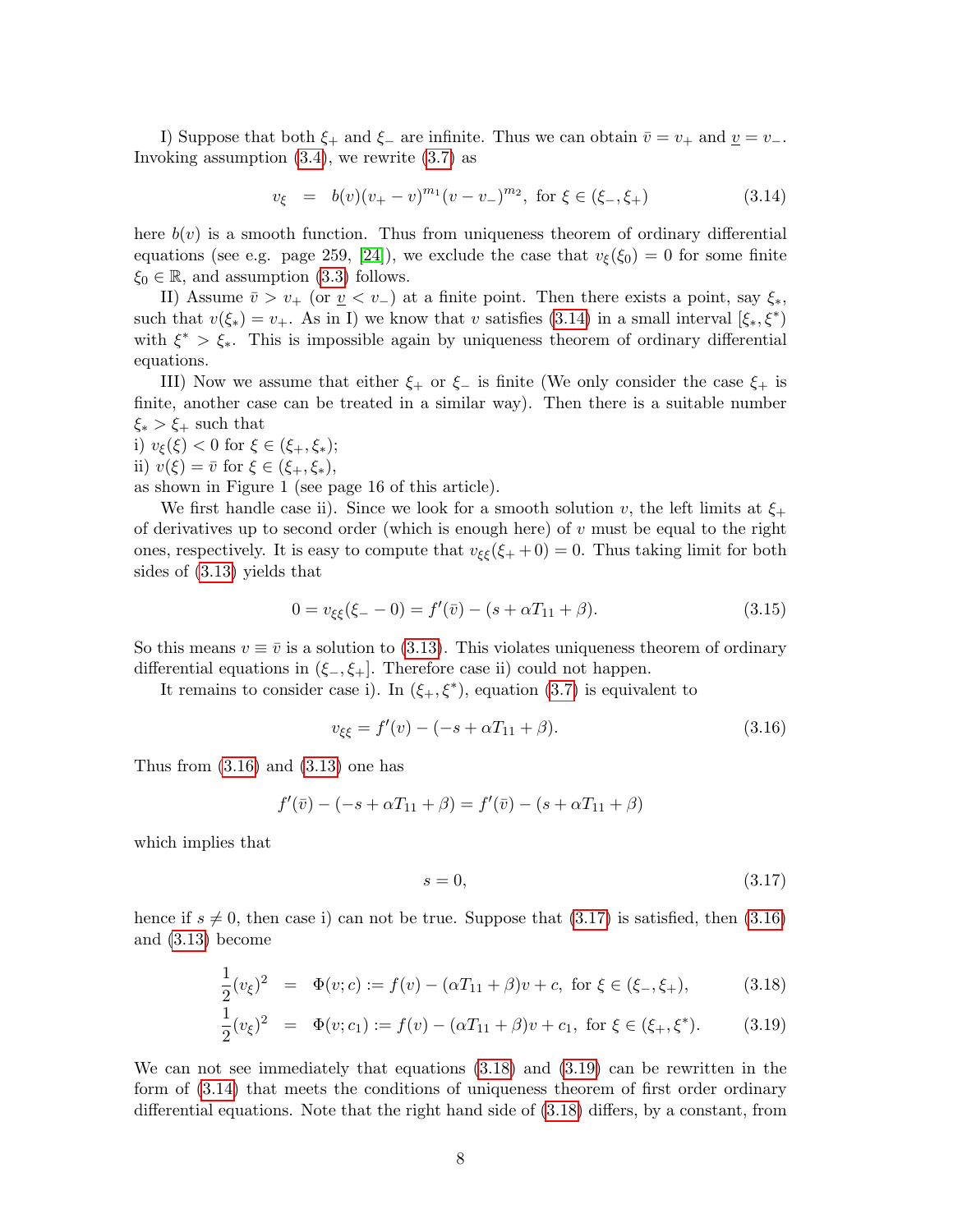I) Suppose that both  $\xi_+$  and  $\xi_-$  are infinite. Thus we can obtain  $\bar{v} = v_+$  and  $\underline{v} = v_-$ . Invoking assumption [\(3.4\)](#page-5-4), we rewrite [\(3.7\)](#page-6-0) as

<span id="page-7-0"></span>
$$
v_{\xi} = b(v)(v_{+} - v)^{m_1}(v - v_{-})^{m_2}, \text{ for } \xi \in (\xi_{-}, \xi_{+})
$$
\n(3.14)

here  $b(v)$  is a smooth function. Thus from uniqueness theorem of ordinary differential equations (see e.g. page 259, [\[24\]](#page-14-6)), we exclude the case that  $v_{\xi}(\xi_0) = 0$  for some finite  $\xi_0 \in \mathbb{R}$ , and assumption [\(3.3\)](#page-5-3) follows.

II) Assume  $\bar{v} > v_+$  (or  $\underline{v} < v_-$ ) at a finite point. Then there exists a point, say  $\xi_*,$ such that  $v(\xi_*) = v_+$ . As in I) we know that v satisfies [\(3.14\)](#page-7-0) in a small interval  $[\xi_*, \xi^*$ ) with  $\xi^* > \xi_*$ . This is impossible again by uniqueness theorem of ordinary differential equations.

III) Now we assume that either  $\xi_+$  or  $\xi_-$  is finite (We only consider the case  $\xi_+$  is finite, another case can be treated in a similar way). Then there is a suitable number  $\xi_* > \xi_+$  such that

i)  $v_{\xi}(\xi) < 0$  for  $\xi \in (\xi_{+}, \xi_{*})$ ; ii)  $v(\xi) = \overline{v}$  for  $\xi \in (\xi_+, \xi_*),$ 

as shown in Figure 1 (see page 16 of this article).

We first handle case ii). Since we look for a smooth solution v, the left limits at  $\xi_{+}$ of derivatives up to second order (which is enough here) of  $v$  must be equal to the right ones, respectively. It is easy to compute that  $v_{\xi\xi}(\xi + 0) = 0$ . Thus taking limit for both sides of [\(3.13\)](#page-6-1) yields that

$$
0 = v_{\xi\xi}(\xi - 0) = f'(\bar{v}) - (s + \alpha T_{11} + \beta). \tag{3.15}
$$

So this means  $v \equiv \bar{v}$  is a solution to [\(3.13\)](#page-6-1). This violates uniqueness theorem of ordinary differential equations in  $(\xi_-, \xi_+]$ . Therefore case ii) could not happen.

It remains to consider case i). In  $(\xi_+,\xi^*)$ , equation [\(3.7\)](#page-6-0) is equivalent to

<span id="page-7-1"></span>
$$
v_{\xi\xi} = f'(v) - (-s + \alpha T_{11} + \beta). \tag{3.16}
$$

Thus from  $(3.16)$  and  $(3.13)$  one has

$$
f'(\bar{v}) - (-s + \alpha T_{11} + \beta) = f'(\bar{v}) - (s + \alpha T_{11} + \beta)
$$

which implies that

<span id="page-7-2"></span>
$$
s = 0,\tag{3.17}
$$

hence if  $s \neq 0$ , then case i) can not be true. Suppose that [\(3.17\)](#page-7-2) is satisfied, then [\(3.16\)](#page-7-1) and [\(3.13\)](#page-6-1) become

$$
\frac{1}{2}(v_{\xi})^2 = \Phi(v; c) := f(v) - (\alpha T_{11} + \beta)v + c, \text{ for } \xi \in (\xi_-, \xi_+),
$$
 (3.18)

<span id="page-7-3"></span>
$$
\frac{1}{2}(v_{\xi})^2 = \Phi(v; c_1) := f(v) - (\alpha T_{11} + \beta)v + c_1, \text{ for } \xi \in (\xi_+, \xi^*). \tag{3.19}
$$

We can not see immediately that equations [\(3.18\)](#page-7-3) and [\(3.19\)](#page-7-3) can be rewritten in the form of [\(3.14\)](#page-7-0) that meets the conditions of uniqueness theorem of first order ordinary differential equations. Note that the right hand side of [\(3.18\)](#page-7-3) differs, by a constant, from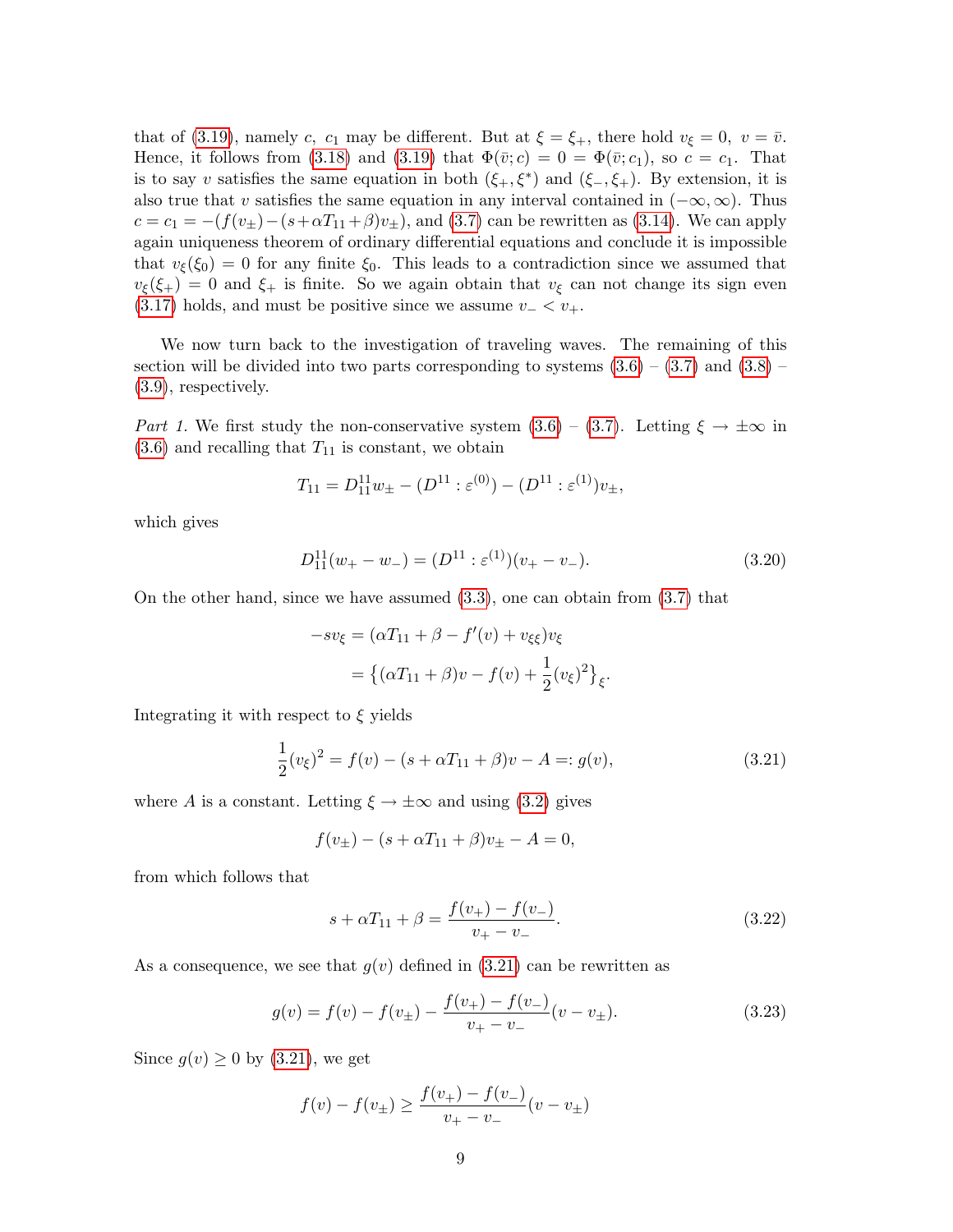that of [\(3.19\)](#page-7-3), namely c, c<sub>1</sub> may be different. But at  $\xi = \xi_{+}$ , there hold  $v_{\xi} = 0$ ,  $v = \overline{v}$ . Hence, it follows from [\(3.18\)](#page-7-3) and [\(3.19\)](#page-7-3) that  $\Phi(\bar{v}; c) = 0 = \Phi(\bar{v}; c_1)$ , so  $c = c_1$ . That is to say v satisfies the same equation in both  $(\xi_+,\xi^*)$  and  $(\xi_-,\xi_+)$ . By extension, it is also true that v satisfies the same equation in any interval contained in  $(-\infty, \infty)$ . Thus  $c = c_1 = -(f(v_{\pm})-(s+\alpha T_{11}+\beta)v_{\pm}),$  and [\(3.7\)](#page-6-0) can be rewritten as [\(3.14\)](#page-7-0). We can apply again uniqueness theorem of ordinary differential equations and conclude it is impossible that  $v_{\xi}(\xi_0) = 0$  for any finite  $\xi_0$ . This leads to a contradiction since we assumed that  $v_{\xi}(\xi_{+}) = 0$  and  $\xi_{+}$  is finite. So we again obtain that  $v_{\xi}$  can not change its sign even [\(3.17\)](#page-7-2) holds, and must be positive since we assume  $v- < v_+$ .

We now turn back to the investigation of traveling waves. The remaining of this section will be divided into two parts corresponding to systems  $(3.6) - (3.7)$  $(3.6) - (3.7)$  $(3.6) - (3.7)$  and  $(3.8) (3.8) -$ [\(3.9\)](#page-6-2), respectively.

Part 1. We first study the non-conservative system  $(3.6) - (3.7)$  $(3.6) - (3.7)$  $(3.6) - (3.7)$ . Letting  $\xi \to \pm \infty$  in  $(3.6)$  and recalling that  $T_{11}$  is constant, we obtain

$$
T_{11} = D_{11}^{11} w_{\pm} - (D^{11} : \varepsilon^{(0)}) - (D^{11} : \varepsilon^{(1)}) v_{\pm},
$$

which gives

<span id="page-8-2"></span>
$$
D_{11}^{11}(w_{+}-w_{-}) = (D^{11} : \varepsilon^{(1)})(v_{+}-v_{-}). \tag{3.20}
$$

On the other hand, since we have assumed [\(3.3\)](#page-5-3), one can obtain from [\(3.7\)](#page-6-0) that

$$
-sv_{\xi} = (\alpha T_{11} + \beta - f'(v) + v_{\xi\xi})v_{\xi}
$$

$$
= \{(\alpha T_{11} + \beta)v - f(v) + \frac{1}{2}(v_{\xi})^2\}_{\xi}.
$$

Integrating it with respect to  $\xi$  yields

<span id="page-8-0"></span>
$$
\frac{1}{2}(v_{\xi})^2 = f(v) - (s + \alpha T_{11} + \beta)v - A =: g(v),
$$
\n(3.21)

where A is a constant. Letting  $\xi \to \pm \infty$  and using [\(3.2\)](#page-5-5) gives

$$
f(v_{\pm}) - (s + \alpha T_{11} + \beta)v_{\pm} - A = 0,
$$

from which follows that

<span id="page-8-1"></span>
$$
s + \alpha T_{11} + \beta = \frac{f(v_+) - f(v_-)}{v_+ - v_-}.
$$
\n(3.22)

As a consequence, we see that  $g(v)$  defined in [\(3.21\)](#page-8-0) can be rewritten as

$$
g(v) = f(v) - f(v_{\pm}) - \frac{f(v_{+}) - f(v_{-})}{v_{+} - v_{-}}(v - v_{\pm}).
$$
\n(3.23)

Since  $g(v) \geq 0$  by [\(3.21\)](#page-8-0), we get

$$
f(v) - f(v_{\pm}) \ge \frac{f(v_{+}) - f(v_{-})}{v_{+} - v_{-}}(v - v_{\pm})
$$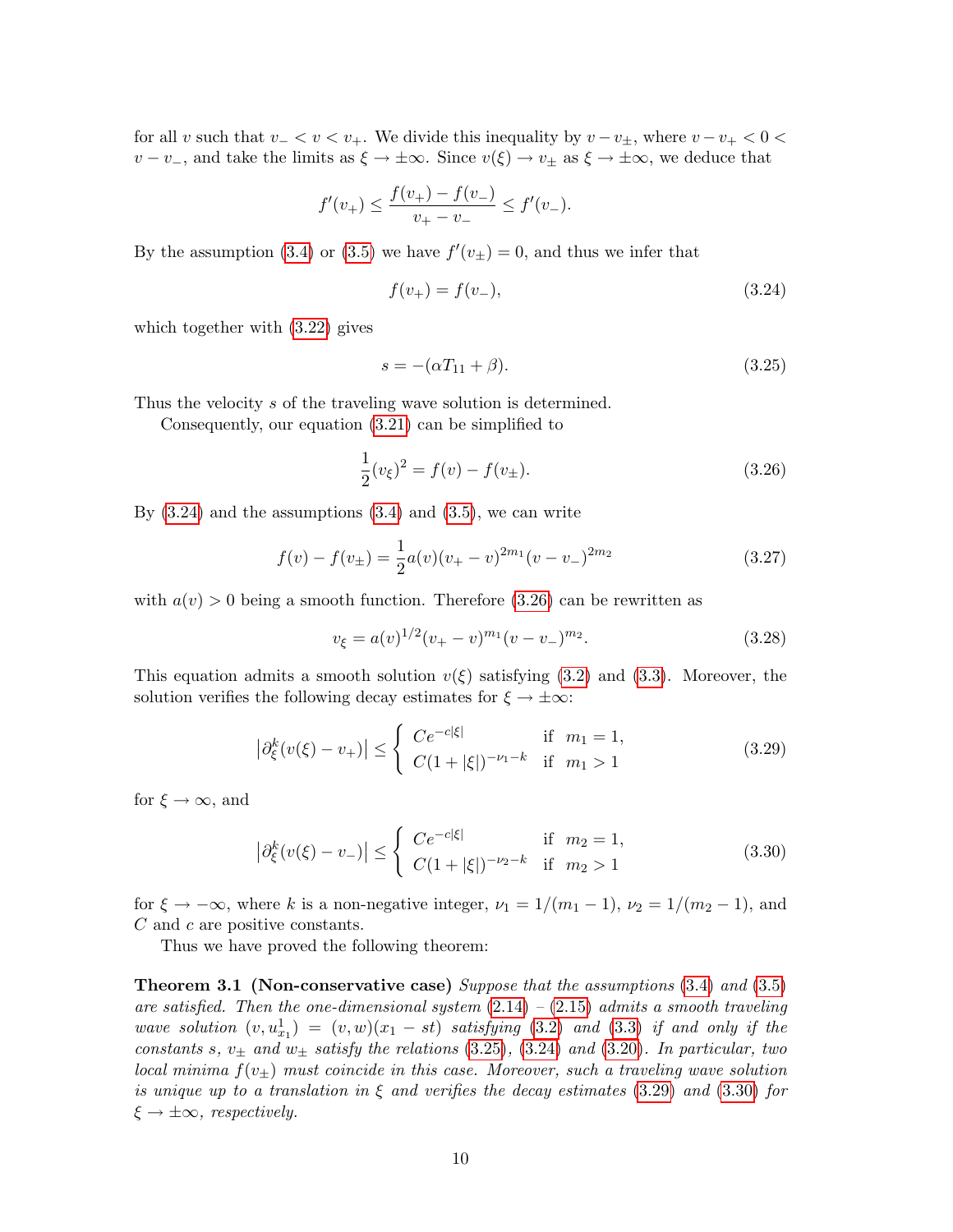for all v such that  $v - < v < v_+$ . We divide this inequality by  $v - v_+$ , where  $v - v_+ < 0 <$  $v - v_-,$  and take the limits as  $\xi \to \pm \infty$ . Since  $v(\xi) \to v_\pm$  as  $\xi \to \pm \infty$ , we deduce that

$$
f'(v_+) \le \frac{f(v_+) - f(v_-)}{v_+ - v_-} \le f'(v_-).
$$

By the assumption [\(3.4\)](#page-5-4) or [\(3.5\)](#page-6-3) we have  $f'(v_{\pm}) = 0$ , and thus we infer that

<span id="page-9-0"></span>
$$
f(v_{+}) = f(v_{-}), \tag{3.24}
$$

which together with [\(3.22\)](#page-8-1) gives

<span id="page-9-2"></span>
$$
s = -(\alpha T_{11} + \beta). \tag{3.25}
$$

Thus the velocity s of the traveling wave solution is determined.

Consequently, our equation [\(3.21\)](#page-8-0) can be simplified to

<span id="page-9-1"></span>
$$
\frac{1}{2}(v_{\xi})^2 = f(v) - f(v_{\pm}).
$$
\n(3.26)

By  $(3.24)$  and the assumptions  $(3.4)$  and  $(3.5)$ , we can write

$$
f(v) - f(v_{\pm}) = \frac{1}{2}a(v)(v_{+} - v)^{2m_1}(v - v_{-})^{2m_2}
$$
\n(3.27)

with  $a(v) > 0$  being a smooth function. Therefore [\(3.26\)](#page-9-1) can be rewritten as

$$
v_{\xi} = a(v)^{1/2}(v_{+} - v)^{m_1}(v - v_{-})^{m_2}.
$$
\n(3.28)

This equation admits a smooth solution  $v(\xi)$  satisfying [\(3.2\)](#page-5-5) and [\(3.3\)](#page-5-3). Moreover, the solution verifies the following decay estimates for  $\xi \to \pm \infty$ :

<span id="page-9-3"></span>
$$
\left|\partial_{\xi}^{k}(v(\xi)-v_{+})\right| \leq \begin{cases} Ce^{-c|\xi|} & \text{if } m_{1}=1, \\ C(1+|\xi|)^{-\nu_{1}-k} & \text{if } m_{1}>1 \end{cases}
$$
 (3.29)

for  $\xi \to \infty$ , and

<span id="page-9-4"></span>
$$
\left| \partial_{\xi}^{k}(v(\xi) - v_{-}) \right| \leq \begin{cases} Ce^{-c|\xi|} & \text{if } m_{2} = 1, \\ C(1 + |\xi|)^{-\nu_{2} - k} & \text{if } m_{2} > 1 \end{cases}
$$
 (3.30)

for  $\xi \to -\infty$ , where k is a non-negative integer,  $\nu_1 = 1/(m_1 - 1)$ ,  $\nu_2 = 1/(m_2 - 1)$ , and C and c are positive constants.

Thus we have proved the following theorem:

**Theorem 3.1 (Non-conservative case)** Suppose that the assumptions  $(3.4)$  and  $(3.5)$ are satisfied. Then the one-dimensional system  $(2.14) - (2.15)$  $(2.14) - (2.15)$  $(2.14) - (2.15)$  admits a smooth traveling wave solution  $(v, u_{x_1}^1) = (v, w)(x_1 - st)$  satisfying [\(3.2\)](#page-5-5) and [\(3.3\)](#page-5-3) if and only if the constants s,  $v_{\pm}$  and  $w_{\pm}$  satisfy the relations [\(3.25\)](#page-9-2), [\(3.24\)](#page-9-0) and [\(3.20\)](#page-8-2). In particular, two local minima  $f(v_{\pm})$  must coincide in this case. Moreover, such a traveling wave solution is unique up to a translation in  $\xi$  and verifies the decay estimates [\(3.29\)](#page-9-3) and [\(3.30\)](#page-9-4) for  $\xi \rightarrow \pm \infty$ , respectively.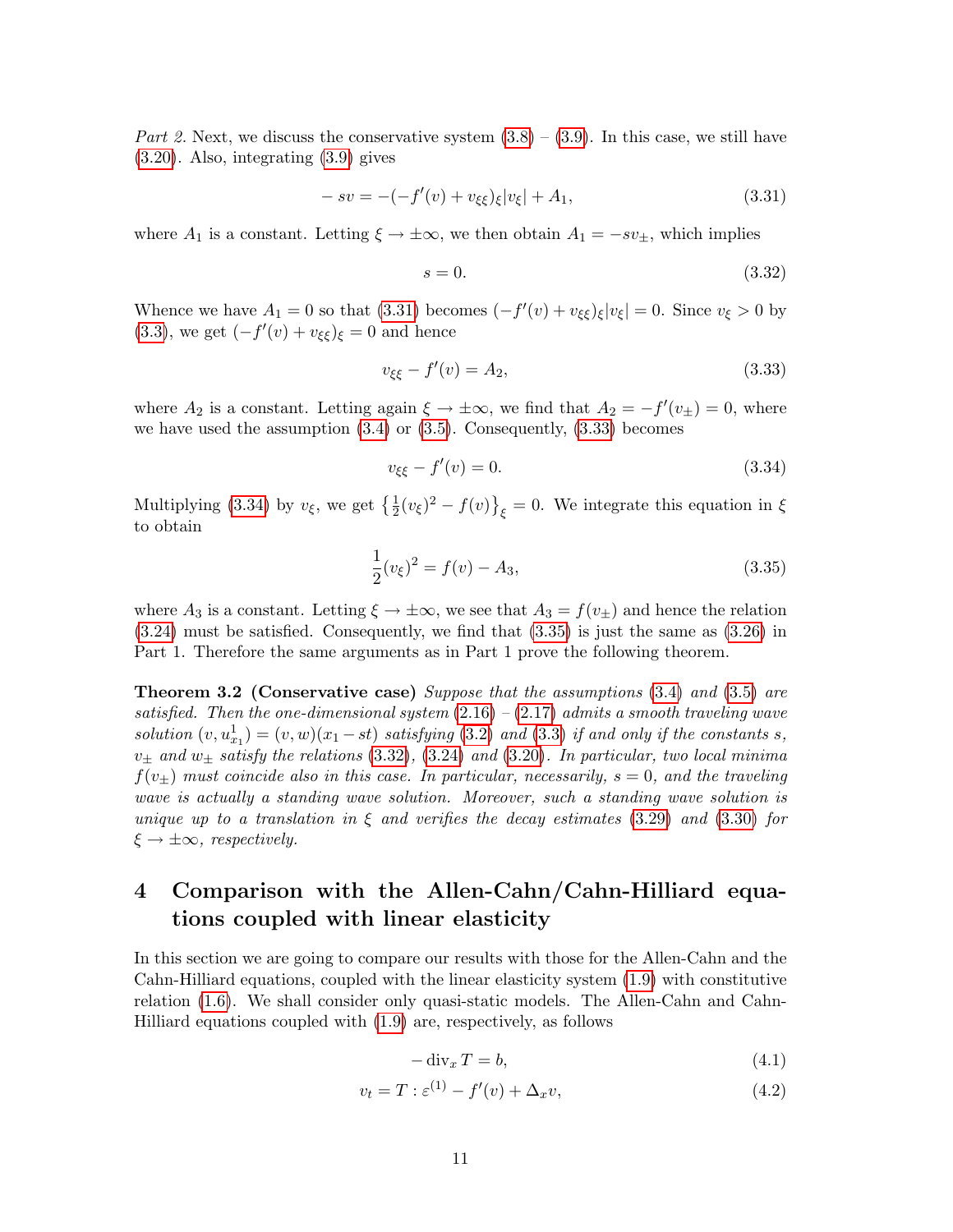Part 2. Next, we discuss the conservative system  $(3.8) - (3.9)$  $(3.8) - (3.9)$  $(3.8) - (3.9)$ . In this case, we still have [\(3.20\)](#page-8-2). Also, integrating [\(3.9\)](#page-6-2) gives

<span id="page-10-0"></span>
$$
-sv = -(-f'(v) + v_{\xi\xi})_{\xi}|v_{\xi}| + A_1,
$$
\n(3.31)

where  $A_1$  is a constant. Letting  $\xi \to \pm \infty$ , we then obtain  $A_1 = -sv_{\pm}$ , which implies

<span id="page-10-4"></span>
$$
s = 0.\t\t(3.32)
$$

Whence we have  $A_1 = 0$  so that [\(3.31\)](#page-10-0) becomes  $(-f'(v) + v_{\xi\xi})_\xi |v_\xi| = 0$ . Since  $v_\xi > 0$  by [\(3.3\)](#page-5-3), we get  $(-f'(v) + v_{\xi\xi})_{\xi} = 0$  and hence

<span id="page-10-1"></span>
$$
v_{\xi\xi} - f'(v) = A_2,\tag{3.33}
$$

where  $A_2$  is a constant. Letting again  $\xi \to \pm \infty$ , we find that  $A_2 = -f'(v_{\pm}) = 0$ , where we have used the assumption  $(3.4)$  or  $(3.5)$ . Consequently,  $(3.33)$  becomes

<span id="page-10-2"></span>
$$
v_{\xi\xi} - f'(v) = 0.\t\t(3.34)
$$

Multiplying [\(3.34\)](#page-10-2) by  $v_{\xi}$ , we get  $\left\{\frac{1}{2}(v_{\xi})^2 - f(v)\right\}_{\xi} = 0$ . We integrate this equation in  $\xi$ to obtain

<span id="page-10-3"></span>
$$
\frac{1}{2}(v_{\xi})^2 = f(v) - A_3,\tag{3.35}
$$

where  $A_3$  is a constant. Letting  $\xi \to \pm \infty$ , we see that  $A_3 = f(v_{\pm})$  and hence the relation [\(3.24\)](#page-9-0) must be satisfied. Consequently, we find that [\(3.35\)](#page-10-3) is just the same as [\(3.26\)](#page-9-1) in Part 1. Therefore the same arguments as in Part 1 prove the following theorem.

Theorem 3.2 (Conservative case) Suppose that the assumptions [\(3.4\)](#page-5-4) and [\(3.5\)](#page-6-3) are satisfied. Then the one-dimensional system  $(2.16)$  –  $(2.17)$  admits a smooth traveling wave solution  $(v, u_{x_1}^1) = (v, w)(x_1 - st)$  satisfying [\(3.2\)](#page-5-5) and [\(3.3\)](#page-5-3) if and only if the constants s,  $v_{\pm}$  and  $w_{\pm}$  satisfy the relations [\(3.32\)](#page-10-4), [\(3.24\)](#page-9-0) and [\(3.20\)](#page-8-2). In particular, two local minima  $f(v_{\pm})$  must coincide also in this case. In particular, necessarily,  $s = 0$ , and the traveling wave is actually a standing wave solution. Moreover, such a standing wave solution is unique up to a translation in  $\xi$  and verifies the decay estimates [\(3.29\)](#page-9-3) and [\(3.30\)](#page-9-4) for  $\xi \rightarrow \pm \infty$ , respectively.

# 4 Comparison with the Allen-Cahn/Cahn-Hilliard equations coupled with linear elasticity

In this section we are going to compare our results with those for the Allen-Cahn and the Cahn-Hilliard equations, coupled with the linear elasticity system [\(1.9\)](#page-2-2) with constitutive relation [\(1.6\)](#page-2-0). We shall consider only quasi-static models. The Allen-Cahn and Cahn-Hilliard equations coupled with [\(1.9\)](#page-2-2) are, respectively, as follows

$$
-\operatorname{div}_x T = b,\tag{4.1}
$$

<span id="page-10-5"></span>
$$
v_t = T : \varepsilon^{(1)} - f'(v) + \Delta_x v,\tag{4.2}
$$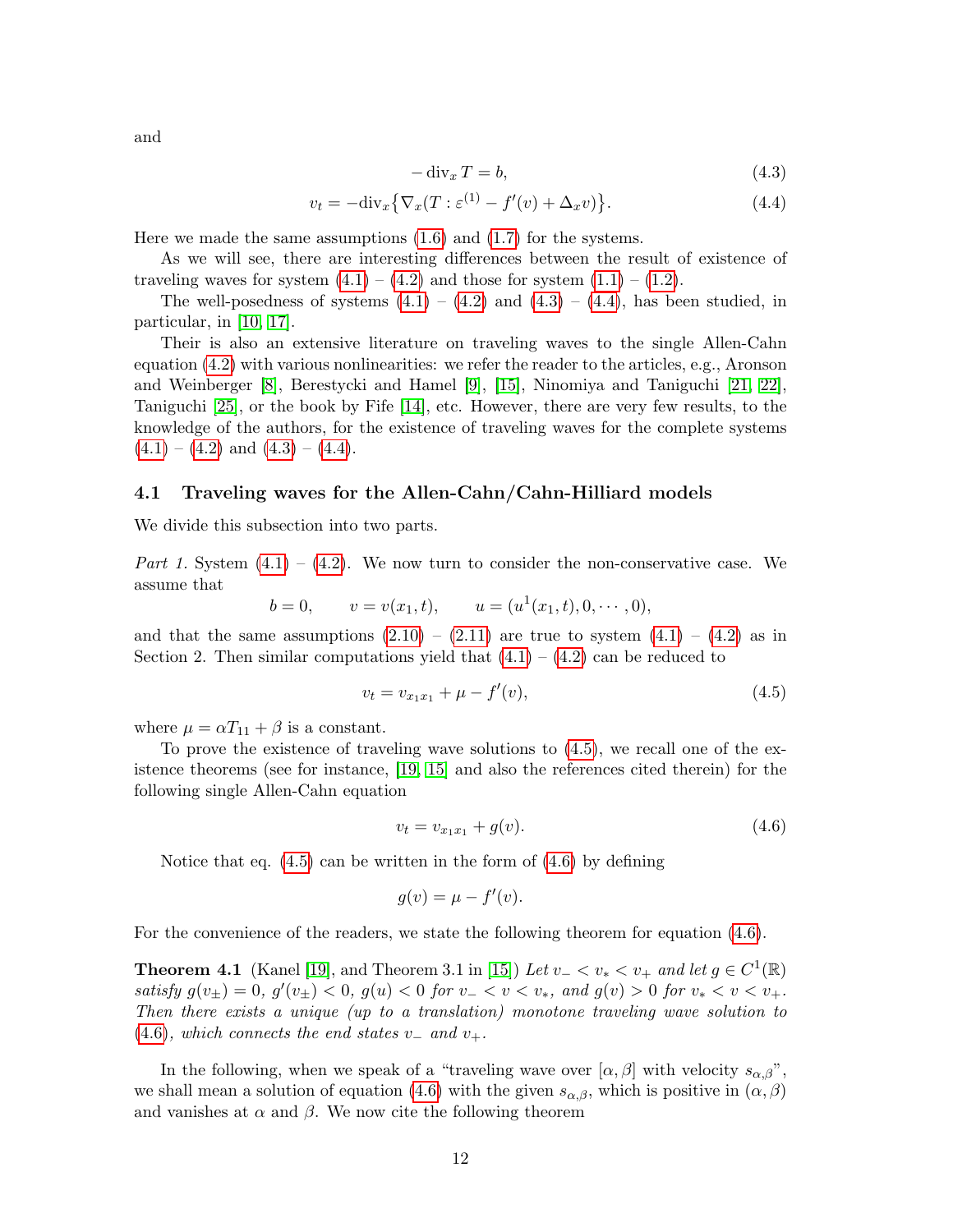and

$$
-\operatorname{div}_x T = b,\t\t(4.3)
$$

<span id="page-11-0"></span>
$$
v_t = -\text{div}_x \{ \nabla_x (T : \varepsilon^{(1)} - f'(v) + \Delta_x v) \}.
$$
\n(4.4)

Here we made the same assumptions [\(1.6\)](#page-2-0) and [\(1.7\)](#page-2-1) for the systems.

As we will see, there are interesting differences between the result of existence of traveling waves for system  $(4.1) - (4.2)$  $(4.1) - (4.2)$  $(4.1) - (4.2)$  and those for system  $(1.1) - (1.2)$  $(1.1) - (1.2)$  $(1.1) - (1.2)$ .

The well-posedness of systems  $(4.1) - (4.2)$  $(4.1) - (4.2)$  $(4.1) - (4.2)$  and  $(4.3) - (4.4)$  $(4.3) - (4.4)$  $(4.3) - (4.4)$ , has been studied, in particular, in [\[10,](#page-14-7) [17\]](#page-14-8).

Their is also an extensive literature on traveling waves to the single Allen-Cahn equation [\(4.2\)](#page-10-5) with various nonlinearities: we refer the reader to the articles, e.g., Aronson and Weinberger [\[8\]](#page-14-9), Berestycki and Hamel [\[9\]](#page-14-10), [\[15\]](#page-14-11), Ninomiya and Taniguchi [\[21,](#page-14-12) [22\]](#page-14-13), Taniguchi [\[25\]](#page-14-14), or the book by Fife [\[14\]](#page-14-15), etc. However, there are very few results, to the knowledge of the authors, for the existence of traveling waves for the complete systems  $(4.1) - (4.2)$  $(4.1) - (4.2)$  $(4.1) - (4.2)$  and  $(4.3) - (4.4)$  $(4.3) - (4.4)$  $(4.3) - (4.4)$ .

#### 4.1 Traveling waves for the Allen-Cahn/Cahn-Hilliard models

We divide this subsection into two parts.

Part 1. System  $(4.1) - (4.2)$  $(4.1) - (4.2)$  $(4.1) - (4.2)$ . We now turn to consider the non-conservative case. We assume that

$$
b = 0, \qquad v = v(x_1, t), \qquad u = (u^1(x_1, t), 0, \cdots, 0),
$$

and that the same assumptions  $(2.10) - (2.11)$  $(2.10) - (2.11)$  $(2.10) - (2.11)$  are true to system  $(4.1) - (4.2)$  $(4.1) - (4.2)$  $(4.1) - (4.2)$  as in Section 2. Then similar computations yield that  $(4.1) - (4.2)$  $(4.1) - (4.2)$  $(4.1) - (4.2)$  can be reduced to

<span id="page-11-1"></span>
$$
v_t = v_{x_1 x_1} + \mu - f'(v), \tag{4.5}
$$

where  $\mu = \alpha T_{11} + \beta$  is a constant.

To prove the existence of traveling wave solutions to [\(4.5\)](#page-11-1), we recall one of the existence theorems (see for instance, [\[19,](#page-14-16) [15\]](#page-14-11) and also the references cited therein) for the following single Allen-Cahn equation

<span id="page-11-2"></span>
$$
v_t = v_{x_1 x_1} + g(v). \tag{4.6}
$$

Notice that eq.  $(4.5)$  can be written in the form of  $(4.6)$  by defining

$$
g(v) = \mu - f'(v).
$$

For the convenience of the readers, we state the following theorem for equation [\(4.6\)](#page-11-2).

**Theorem 4.1** (Kanel [\[19\]](#page-14-16), and Theorem 3.1 in [\[15\]](#page-14-11)) Let  $v_- < v_* < v_+$  and let  $g \in C^1(\mathbb{R})$ satisfy  $g(v_{\pm}) = 0$ ,  $g'(v_{\pm}) < 0$ ,  $g(u) < 0$  for  $v_{-} < v < v_{*}$ , and  $g(v) > 0$  for  $v_{*} < v < v_{+}$ . Then there exists a unique (up to a translation) monotone traveling wave solution to  $(4.6)$ , which connects the end states v<sub>-</sub> and v<sub>+</sub>.

In the following, when we speak of a "traveling wave over  $[\alpha, \beta]$  with velocity  $s_{\alpha,\beta}$ ", we shall mean a solution of equation [\(4.6\)](#page-11-2) with the given  $s_{\alpha,\beta}$ , which is positive in  $(\alpha,\beta)$ and vanishes at  $\alpha$  and  $\beta$ . We now cite the following theorem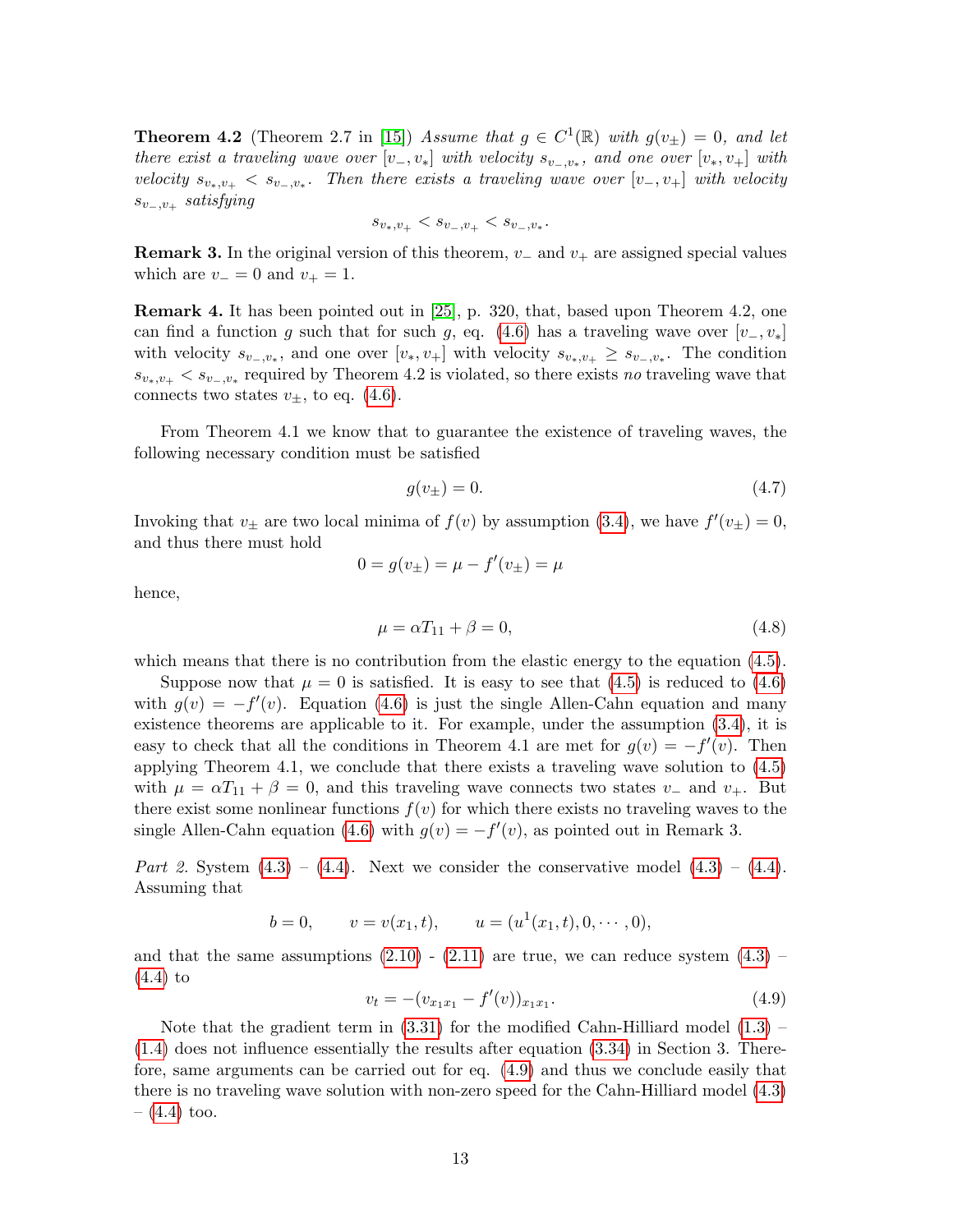**Theorem 4.2** (Theorem 2.7 in [\[15\]](#page-14-11)) Assume that  $g \in C^1(\mathbb{R})$  with  $g(v_{\pm}) = 0$ , and let there exist a traveling wave over  $[v_-, v_*]$  with velocity  $s_{v_-, v_*}$ , and one over  $[v_*, v_+]$  with velocity  $s_{v_*,v_+} < s_{v_-,v_*}$ . Then there exists a traveling wave over  $[v_-,v_+]$  with velocity  $s_{v_-,v_+}$  satisfying

$$
s_{v_*,v_+} < s_{v_-,v_+} < s_{v_-,v_*}.
$$

**Remark 3.** In the original version of this theorem,  $v_-\$  and  $v_+\$  are assigned special values which are  $v_-=0$  and  $v_+=1$ .

Remark 4. It has been pointed out in [\[25\]](#page-14-14), p. 320, that, based upon Theorem 4.2, one can find a function g such that for such g, eq. [\(4.6\)](#page-11-2) has a traveling wave over  $[v_-, v_*]$ with velocity  $s_{v_-,v_*}$ , and one over  $[v_*, v_+]$  with velocity  $s_{v_*,v_+} \geq s_{v_-,v_*}$ . The condition  $s_{v_*,v_+} < s_{v_-,v_*}$  required by Theorem 4.2 is violated, so there exists no traveling wave that connects two states  $v_{\pm}$ , to eq. [\(4.6\)](#page-11-2).

From Theorem 4.1 we know that to guarantee the existence of traveling waves, the following necessary condition must be satisfied

$$
g(v_{\pm}) = 0.\tag{4.7}
$$

Invoking that  $v_{\pm}$  are two local minima of  $f(v)$  by assumption [\(3.4\)](#page-5-4), we have  $f'(v_{\pm}) = 0$ , and thus there must hold

$$
0 = g(v_{\pm}) = \mu - f'(v_{\pm}) = \mu
$$

hence,

$$
\mu = \alpha T_{11} + \beta = 0,\tag{4.8}
$$

which means that there is no contribution from the elastic energy to the equation  $(4.5)$ .

Suppose now that  $\mu = 0$  is satisfied. It is easy to see that [\(4.5\)](#page-11-1) is reduced to [\(4.6\)](#page-11-2) with  $g(v) = -f'(v)$ . Equation [\(4.6\)](#page-11-2) is just the single Allen-Cahn equation and many existence theorems are applicable to it. For example, under the assumption [\(3.4\)](#page-5-4), it is easy to check that all the conditions in Theorem 4.1 are met for  $g(v) = -f'(v)$ . Then applying Theorem 4.1, we conclude that there exists a traveling wave solution to [\(4.5\)](#page-11-1) with  $\mu = \alpha T_{11} + \beta = 0$ , and this traveling wave connects two states  $v_-\$  and  $v_+$ . But there exist some nonlinear functions  $f(v)$  for which there exists no traveling waves to the single Allen-Cahn equation [\(4.6\)](#page-11-2) with  $g(v) = -f'(v)$ , as pointed out in Remark 3.

Part 2. System  $(4.3) - (4.4)$  $(4.3) - (4.4)$  $(4.3) - (4.4)$ . Next we consider the conservative model  $(4.3) - (4.4)$ . Assuming that

$$
b = 0, \qquad v = v(x_1, t), \qquad u = (u^1(x_1, t), 0, \cdots, 0),
$$

and that the same assumptions  $(2.10)$  -  $(2.11)$  are true, we can reduce system  $(4.3)$  -[\(4.4\)](#page-11-0) to

<span id="page-12-0"></span>
$$
v_t = -(v_{x_1x_1} - f'(v))_{x_1x_1}.\tag{4.9}
$$

Note that the gradient term in  $(3.31)$  for the modified Cahn-Hilliard model  $(1.3)$  – [\(1.4\)](#page-1-0) does not influence essentially the results after equation [\(3.34\)](#page-10-2) in Section 3. Therefore, same arguments can be carried out for eq. [\(4.9\)](#page-12-0) and thus we conclude easily that there is no traveling wave solution with non-zero speed for the Cahn-Hilliard model [\(4.3\)](#page-11-0)  $-$  [\(4.4\)](#page-11-0) too.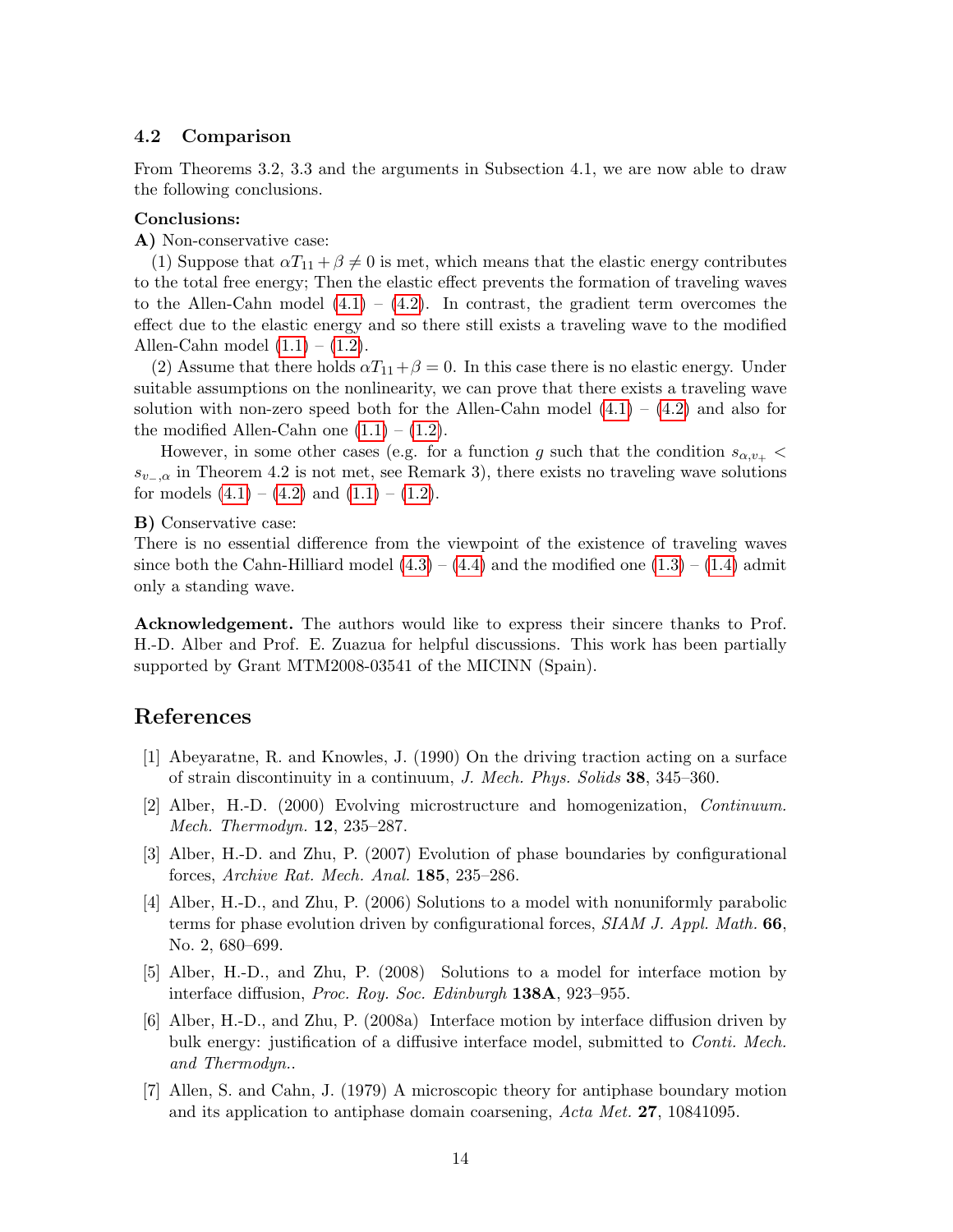### 4.2 Comparison

From Theorems 3.2, 3.3 and the arguments in Subsection 4.1, we are now able to draw the following conclusions.

#### Conclusions:

A) Non-conservative case:

(1) Suppose that  $\alpha T_{11} + \beta \neq 0$  is met, which means that the elastic energy contributes to the total free energy; Then the elastic effect prevents the formation of traveling waves to the Allen-Cahn model  $(4.1) - (4.2)$  $(4.1) - (4.2)$  $(4.1) - (4.2)$ . In contrast, the gradient term overcomes the effect due to the elastic energy and so there still exists a traveling wave to the modified Allen-Cahn model  $(1.1) - (1.2)$  $(1.1) - (1.2)$  $(1.1) - (1.2)$ .

(2) Assume that there holds  $\alpha T_{11} + \beta = 0$ . In this case there is no elastic energy. Under suitable assumptions on the nonlinearity, we can prove that there exists a traveling wave solution with non-zero speed both for the Allen-Cahn model  $(4.1) - (4.2)$  $(4.1) - (4.2)$  $(4.1) - (4.2)$  and also for the modified Allen-Cahn one  $(1.1) - (1.2)$  $(1.1) - (1.2)$  $(1.1) - (1.2)$ .

However, in some other cases (e.g. for a function g such that the condition  $s_{\alpha,\nu_+}$  <  $s_{v-2}$  in Theorem 4.2 is not met, see Remark 3), there exists no traveling wave solutions for models  $(4.1) - (4.2)$  $(4.1) - (4.2)$  $(4.1) - (4.2)$  and  $(1.1) - (1.2)$  $(1.1) - (1.2)$  $(1.1) - (1.2)$ .

#### B) Conservative case:

There is no essential difference from the viewpoint of the existence of traveling waves since both the Cahn-Hilliard model  $(4.3) - (4.4)$  $(4.3) - (4.4)$  $(4.3) - (4.4)$  and the modified one  $(1.3) - (1.4)$  $(1.3) - (1.4)$  $(1.3) - (1.4)$  admit only a standing wave.

Acknowledgement. The authors would like to express their sincere thanks to Prof. H.-D. Alber and Prof. E. Zuazua for helpful discussions. This work has been partially supported by Grant MTM2008-03541 of the MICINN (Spain).

## References

- <span id="page-13-4"></span>[1] Abeyaratne, R. and Knowles, J. (1990) On the driving traction acting on a surface of strain discontinuity in a continuum, J. Mech. Phys. Solids 38, 345–360.
- <span id="page-13-1"></span>[2] Alber, H.-D. (2000) Evolving microstructure and homogenization, Continuum. Mech. Thermodyn. 12, 235–287.
- <span id="page-13-0"></span>[3] Alber, H.-D. and Zhu, P. (2007) Evolution of phase boundaries by configurational forces, Archive Rat. Mech. Anal. 185, 235–286.
- <span id="page-13-2"></span>[4] Alber, H.-D., and Zhu, P. (2006) Solutions to a model with nonuniformly parabolic terms for phase evolution driven by configurational forces, SIAM J. Appl. Math. 66, No. 2, 680–699.
- <span id="page-13-5"></span>[5] Alber, H.-D., and Zhu, P. (2008) Solutions to a model for interface motion by interface diffusion, Proc. Roy. Soc. Edinburgh 138A, 923–955.
- <span id="page-13-6"></span>[6] Alber, H.-D., and Zhu, P. (2008a) Interface motion by interface diffusion driven by bulk energy: justification of a diffusive interface model, submitted to *Conti. Mech.* and Thermodyn..
- <span id="page-13-3"></span>[7] Allen, S. and Cahn, J. (1979) A microscopic theory for antiphase boundary motion and its application to antiphase domain coarsening, Acta Met. 27, 10841095.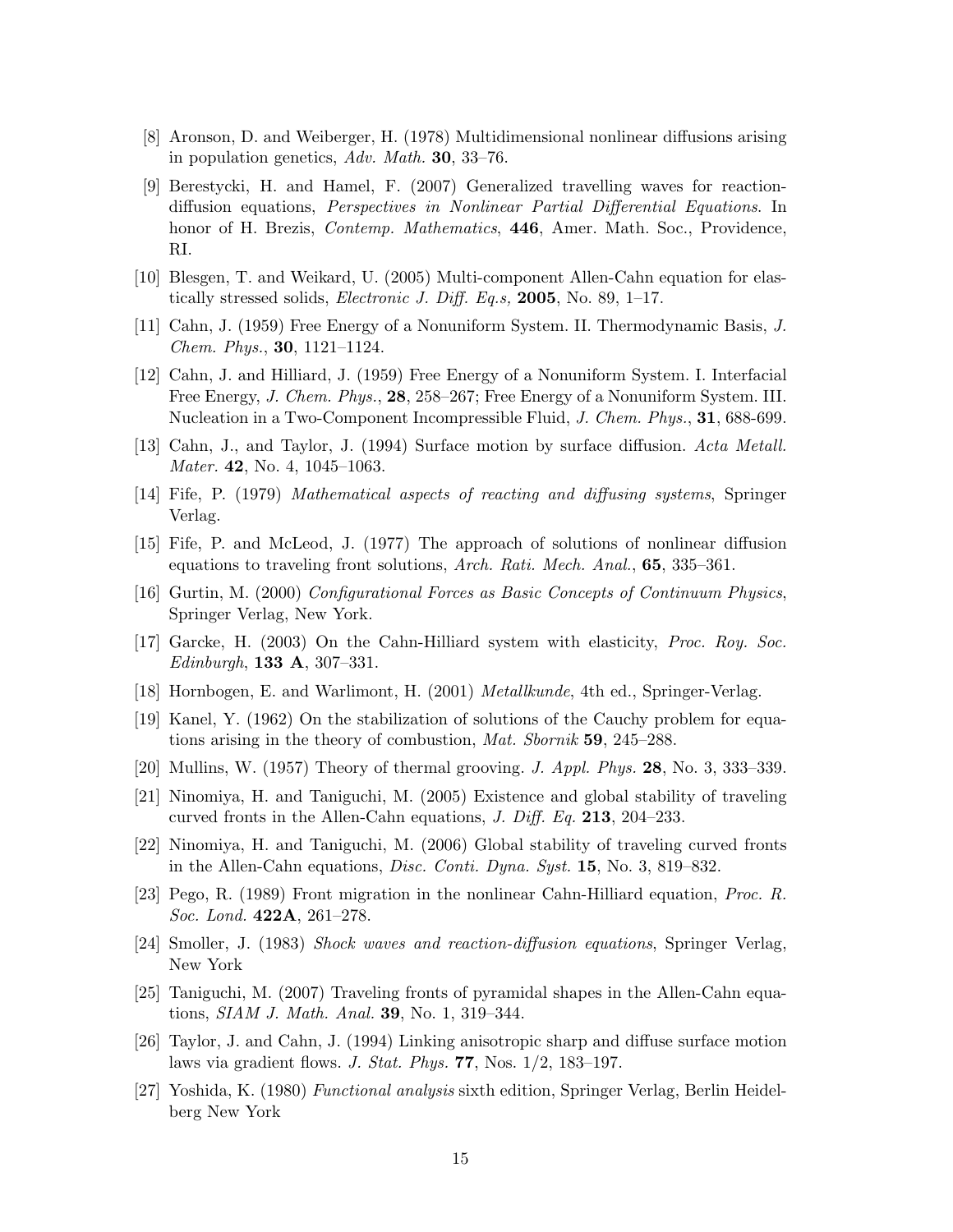- <span id="page-14-9"></span>[8] Aronson, D. and Weiberger, H. (1978) Multidimensional nonlinear diffusions arising in population genetics, Adv. Math. 30, 33–76.
- <span id="page-14-10"></span>[9] Berestycki, H. and Hamel, F. (2007) Generalized travelling waves for reactiondiffusion equations, Perspectives in Nonlinear Partial Differential Equations. In honor of H. Brezis, *Contemp. Mathematics*, 446, Amer. Math. Soc., Providence, RI.
- <span id="page-14-7"></span>[10] Blesgen, T. and Weikard, U. (2005) Multi-component Allen-Cahn equation for elastically stressed solids, *Electronic J. Diff. Eq.s*, **2005**, No. 89, 1–17.
- <span id="page-14-0"></span>[11] Cahn, J. (1959) Free Energy of a Nonuniform System. II. Thermodynamic Basis, J. Chem. Phys., 30, 1121–1124.
- <span id="page-14-1"></span>[12] Cahn, J. and Hilliard, J. (1959) Free Energy of a Nonuniform System. I. Interfacial Free Energy, J. Chem. Phys., 28, 258–267; Free Energy of a Nonuniform System. III. Nucleation in a Two-Component Incompressible Fluid, J. Chem. Phys., 31, 688-699.
- [13] Cahn, J., and Taylor, J. (1994) Surface motion by surface diffusion. Acta Metall. Mater. 42, No. 4, 1045–1063.
- <span id="page-14-15"></span>[14] Fife, P. (1979) Mathematical aspects of reacting and diffusing systems, Springer Verlag.
- <span id="page-14-11"></span>[15] Fife, P. and McLeod, J. (1977) The approach of solutions of nonlinear diffusion equations to traveling front solutions, Arch. Rati. Mech. Anal., 65, 335–361.
- <span id="page-14-3"></span>[16] Gurtin, M. (2000) Configurational Forces as Basic Concepts of Continuum Physics, Springer Verlag, New York.
- <span id="page-14-8"></span>[17] Garcke, H. (2003) On the Cahn-Hilliard system with elasticity, Proc. Roy. Soc. *Edinburgh*, **133 A**, 307-331.
- <span id="page-14-2"></span>[18] Hornbogen, E. and Warlimont, H. (2001) Metallkunde, 4th ed., Springer-Verlag.
- <span id="page-14-16"></span>[19] Kanel, Y. (1962) On the stabilization of solutions of the Cauchy problem for equations arising in the theory of combustion, Mat. Sbornik 59, 245–288.
- <span id="page-14-4"></span>[20] Mullins, W. (1957) Theory of thermal grooving. J. Appl. Phys. 28, No. 3, 333–339.
- <span id="page-14-12"></span>[21] Ninomiya, H. and Taniguchi, M. (2005) Existence and global stability of traveling curved fronts in the Allen-Cahn equations, J. Diff. Eq. 213, 204–233.
- <span id="page-14-13"></span>[22] Ninomiya, H. and Taniguchi, M. (2006) Global stability of traveling curved fronts in the Allen-Cahn equations, Disc. Conti. Dyna. Syst. 15, No. 3, 819–832.
- [23] Pego, R. (1989) Front migration in the nonlinear Cahn-Hilliard equation, Proc. R. Soc. Lond. **422A**, 261-278.
- <span id="page-14-6"></span>[24] Smoller, J. (1983) Shock waves and reaction-diffusion equations, Springer Verlag, New York
- <span id="page-14-14"></span>[25] Taniguchi, M. (2007) Traveling fronts of pyramidal shapes in the Allen-Cahn equations, SIAM J. Math. Anal. 39, No. 1, 319–344.
- [26] Taylor, J. and Cahn, J. (1994) Linking anisotropic sharp and diffuse surface motion laws via gradient flows. J. Stat. Phys. 77, Nos. 1/2, 183–197.
- <span id="page-14-5"></span>[27] Yoshida, K. (1980) Functional analysis sixth edition, Springer Verlag, Berlin Heidelberg New York